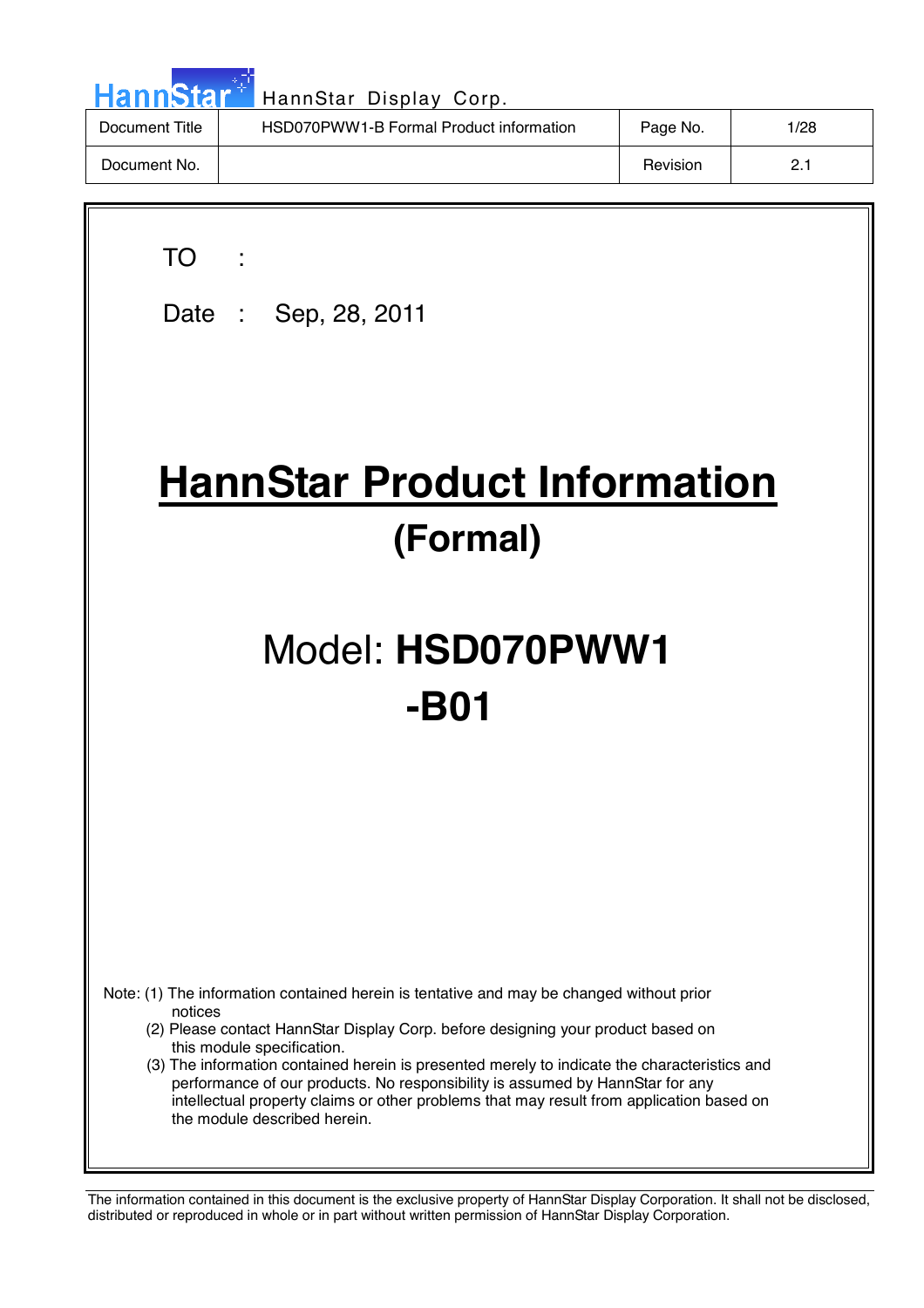| HannStar <sup>**</sup> | HannStar Display Corp.                  |          |      |
|------------------------|-----------------------------------------|----------|------|
| Document Title         | HSD070PWW1-B Formal Product information | Page No. | 1/28 |
| Document No.           |                                         | Revision | 2.1  |

n.

| <b>TO</b>                                                                                                                                                                                                                                                                                                                                                                                                                                                                                                                          |  |  |  |  |  |
|------------------------------------------------------------------------------------------------------------------------------------------------------------------------------------------------------------------------------------------------------------------------------------------------------------------------------------------------------------------------------------------------------------------------------------------------------------------------------------------------------------------------------------|--|--|--|--|--|
| Date: Sep, 28, 2011                                                                                                                                                                                                                                                                                                                                                                                                                                                                                                                |  |  |  |  |  |
| <b>HannStar Product Information</b><br>(Formal)                                                                                                                                                                                                                                                                                                                                                                                                                                                                                    |  |  |  |  |  |
| Model: HSD070PWW1<br>-B01                                                                                                                                                                                                                                                                                                                                                                                                                                                                                                          |  |  |  |  |  |
|                                                                                                                                                                                                                                                                                                                                                                                                                                                                                                                                    |  |  |  |  |  |
| Note: (1) The information contained herein is tentative and may be changed without prior<br>notices<br>(2) Please contact HannStar Display Corp. before designing your product based on<br>this module specification.<br>(3) The information contained herein is presented merely to indicate the characteristics and<br>performance of our products. No responsibility is assumed by HannStar for any<br>intellectual property claims or other problems that may result from application based on<br>the module described herein. |  |  |  |  |  |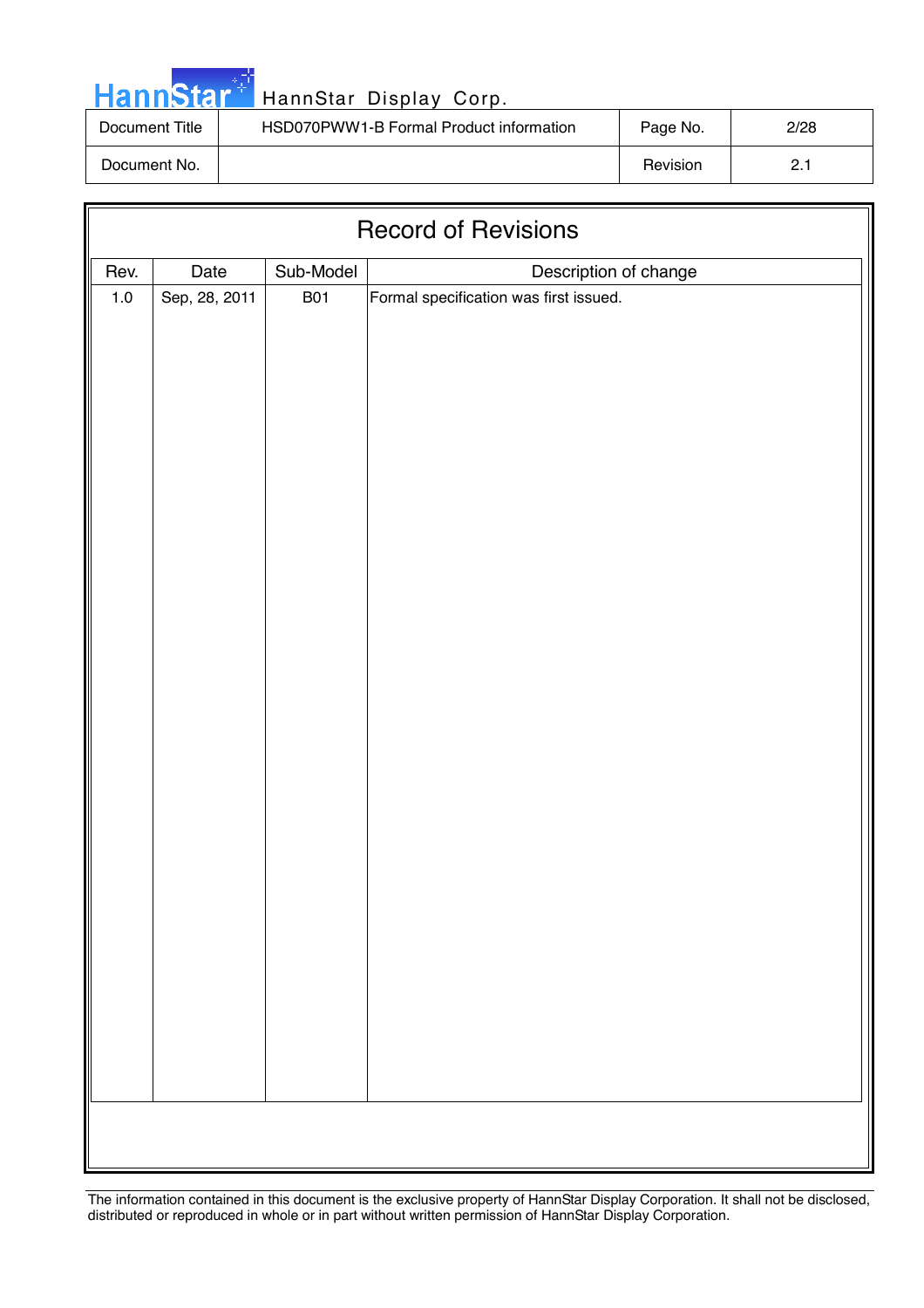|  |  | <b>HannStar</b> |  |
|--|--|-----------------|--|
|  |  |                 |  |

| Document Title | HSD070PWW1-B Formal Product information | Page No. | 2/28     |
|----------------|-----------------------------------------|----------|----------|
| Document No.   |                                         | Revision | <u>.</u> |

| <b>Record of Revisions</b> |               |                         |                                                                 |  |  |  |
|----------------------------|---------------|-------------------------|-----------------------------------------------------------------|--|--|--|
| Rev.                       | Date          |                         |                                                                 |  |  |  |
| $1.0\,$                    | Sep, 28, 2011 | Sub-Model<br><b>B01</b> | Description of change<br>Formal specification was first issued. |  |  |  |
|                            |               |                         |                                                                 |  |  |  |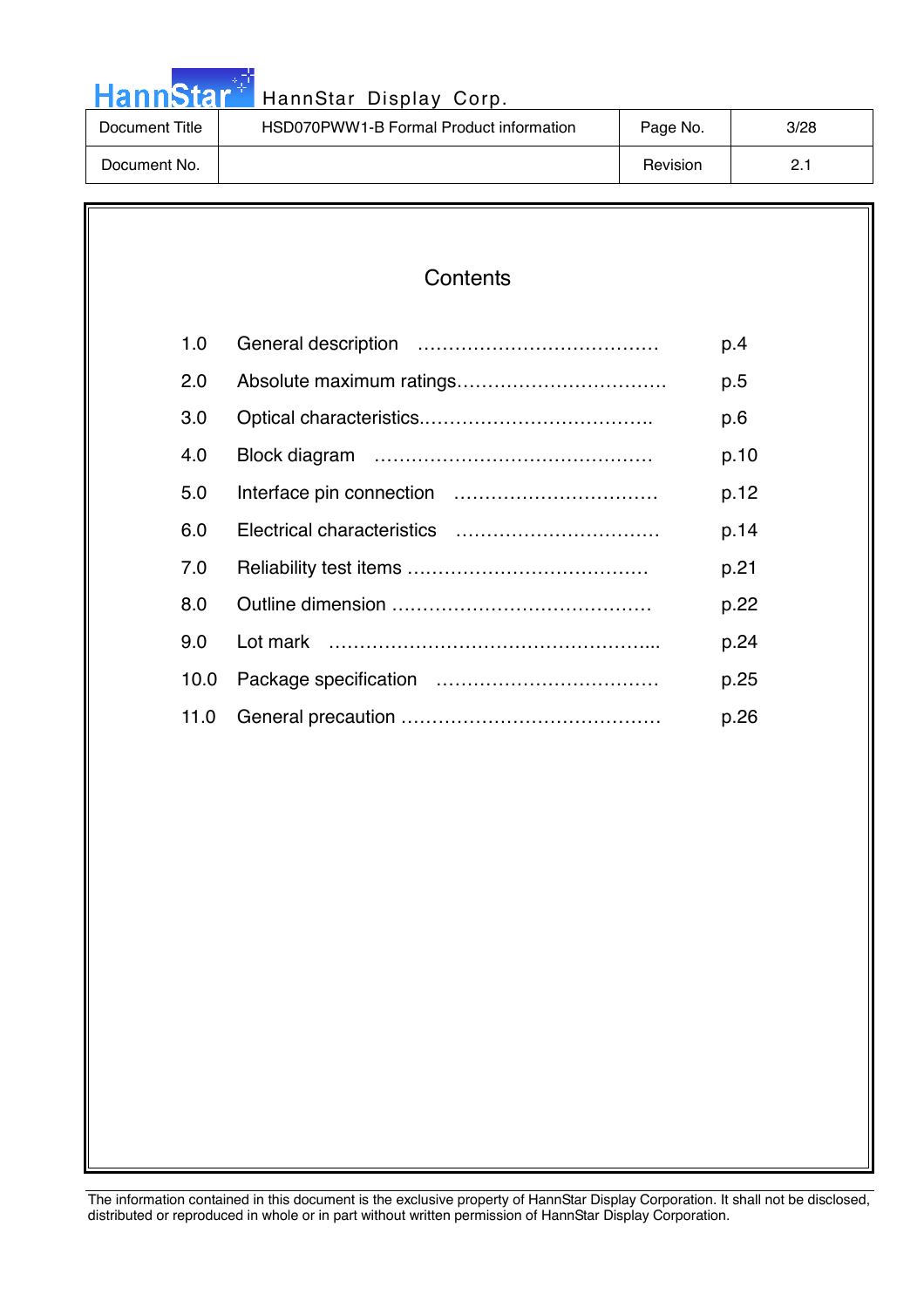

# HannStar<sup>t HannStar Display Corp.</sup>

| Document Title | HSD070PWW1-B Formal Product information | Page No. | 3/28     |
|----------------|-----------------------------------------|----------|----------|
| Document No.   |                                         | Revision | <u>.</u> |

### **Contents**

| 1.0  | p.4  |
|------|------|
| 2.0  | p.5  |
| 3.0  | p.6  |
| 4.0  | p.10 |
| 5.0  | p.12 |
| 6.0  | p.14 |
| 7.0  | p.21 |
| 8.0  | p.22 |
| 9.0  | p.24 |
| 10.0 | p.25 |
| 11.0 | p.26 |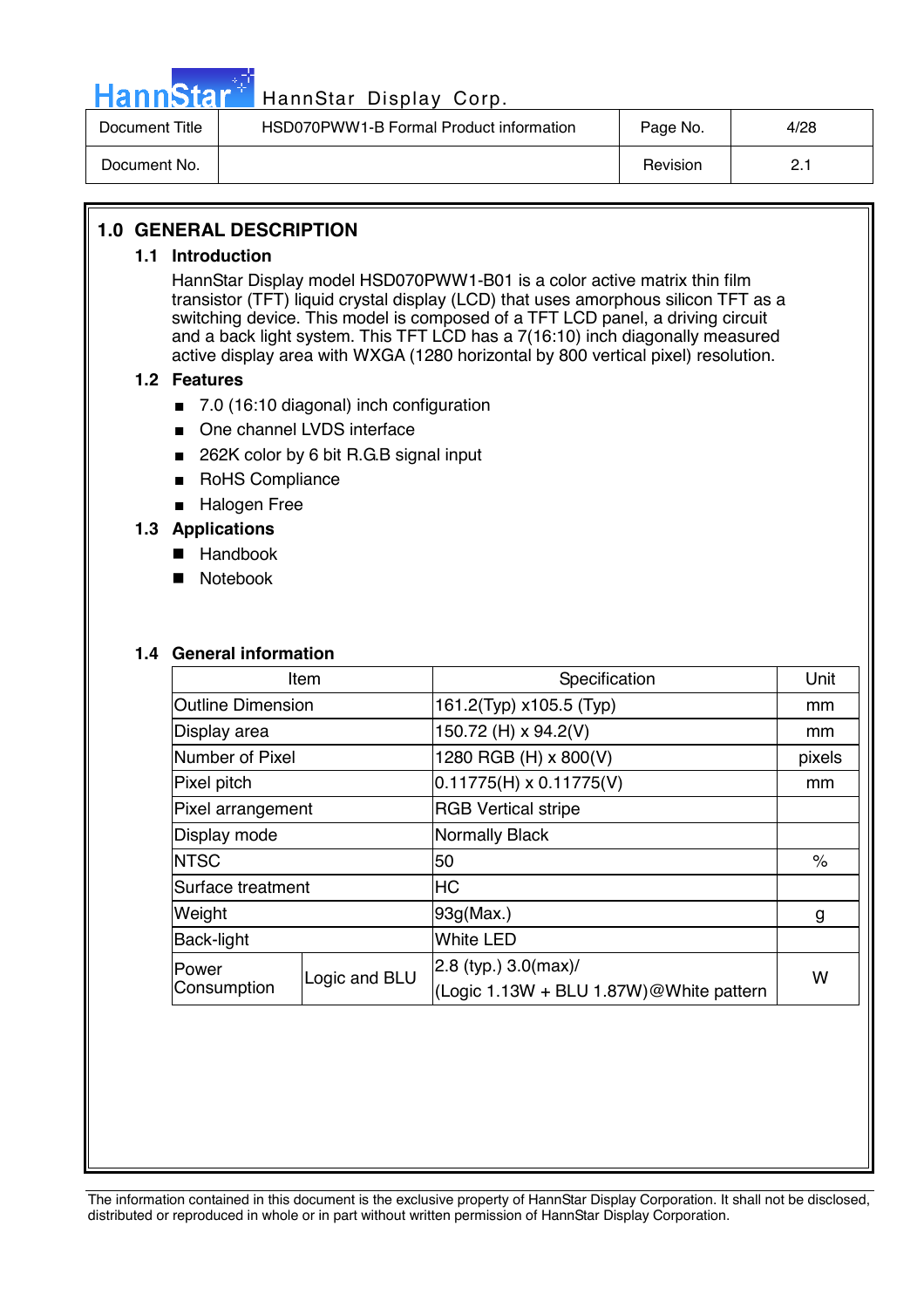

| Document Title | HSD070PWW1-B Formal Product information | Page No. | 4/28 |
|----------------|-----------------------------------------|----------|------|
| Document No.   |                                         | Revision |      |

### **1.0 GENERAL DESCRIPTION**

### **1.1 Introduction**

HannStar Display model HSD070PWW1-B01 is a color active matrix thin film transistor (TFT) liquid crystal display (LCD) that uses amorphous silicon TFT as a switching device. This model is composed of a TFT LCD panel, a driving circuit and a back light system. This TFT LCD has a 7(16:10) inch diagonally measured active display area with WXGA (1280 horizontal by 800 vertical pixel) resolution.

### **1.2 Features**

- 7.0 (16:10 diagonal) inch configuration
- One channel LVDS interface
- 262K color by 6 bit R.G.B signal input
- RoHS Compliance
- Halogen Free

### **1.3 Applications**

- Handbook
- **Notebook**

### **1.4 General information**

| Item                     |               | Specification                                                        | Unit   |
|--------------------------|---------------|----------------------------------------------------------------------|--------|
| <b>Outline Dimension</b> |               | 161.2(Typ) x105.5 (Typ)                                              | mm     |
| Display area             |               | 150.72 (H) x 94.2(V)                                                 | mm     |
| Number of Pixel          |               | 1280 RGB (H) x 800(V)                                                | pixels |
| Pixel pitch              |               | $0.11775(H) \times 0.11775(V)$                                       | mm     |
| Pixel arrangement        |               | <b>RGB Vertical stripe</b>                                           |        |
| Display mode             |               | Normally Black                                                       |        |
| <b>NTSC</b>              |               | 50                                                                   | $\%$   |
| Surface treatment        |               | <b>HC</b>                                                            |        |
| Weight                   |               | 93g(Max.)                                                            | g      |
| Back-light               |               | <b>White LED</b>                                                     |        |
| Power<br>Consumption     | Logic and BLU | $2.8$ (typ.) $3.0$ (max)/<br>(Logic 1.13W + BLU 1.87W)@White pattern |        |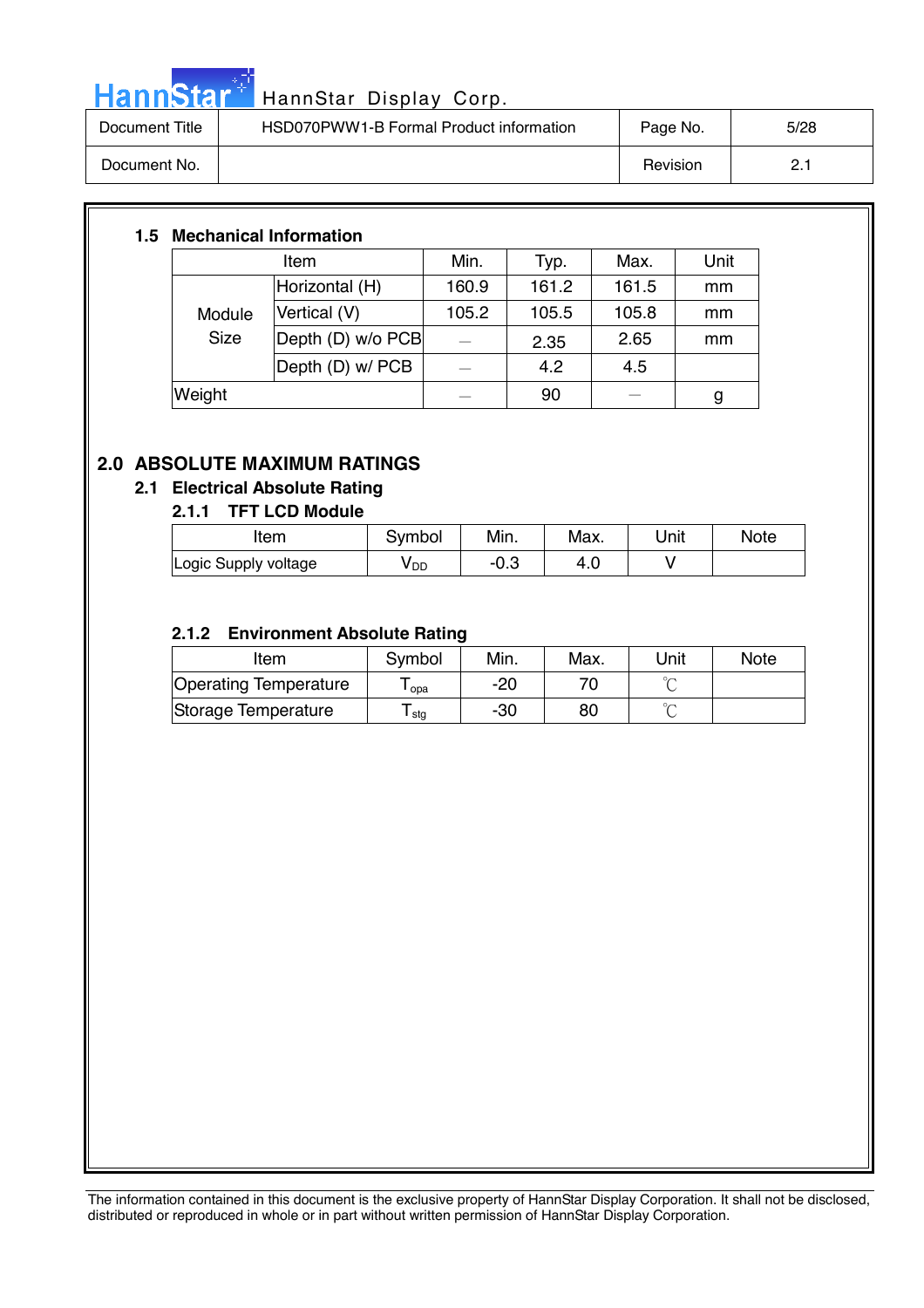

# HannStar<sup>t HannStar</sup> Display Corp.

| Document Title | HSD070PWW1-B Formal Product information | Page No. | 5/28 |
|----------------|-----------------------------------------|----------|------|
| Document No.   |                                         | Revision | ົ.   |

### **1.5 Mechanical Information**

| Item        |                   | Min.  | Typ.  | Max.  | Unit |
|-------------|-------------------|-------|-------|-------|------|
|             | Horizontal (H)    | 160.9 | 161.2 | 161.5 | mm   |
| Module      | Vertical (V)      | 105.2 | 105.5 | 105.8 | mm   |
| <b>Size</b> | Depth (D) w/o PCB |       | 2.35  | 2.65  | mm   |
|             | Depth (D) w/ PCB  |       | 4.2   | 4.5   |      |
| Weight      |                   |       | 90    |       | g    |

### **2.0 ABSOLUTE MAXIMUM RATINGS**

### **2.1 Electrical Absolute Rating**

### **2.1.1 TFT LCD Module**

| Item                 | Svmbol | Min. | Max. | Unit | <b>Note</b> |
|----------------------|--------|------|------|------|-------------|
| Logic Supply voltage | V DD   | −∪.ാ |      |      |             |

### **2.1.2 Environment Absolute Rating**

| Item                  | Symbol | Min. | Max. | Unit   | <b>Note</b> |
|-----------------------|--------|------|------|--------|-------------|
| Operating Temperature | opa    | -20  |      | $\sim$ |             |
| Storage Temperature   | l stg  | -30  | 80   | $\sim$ |             |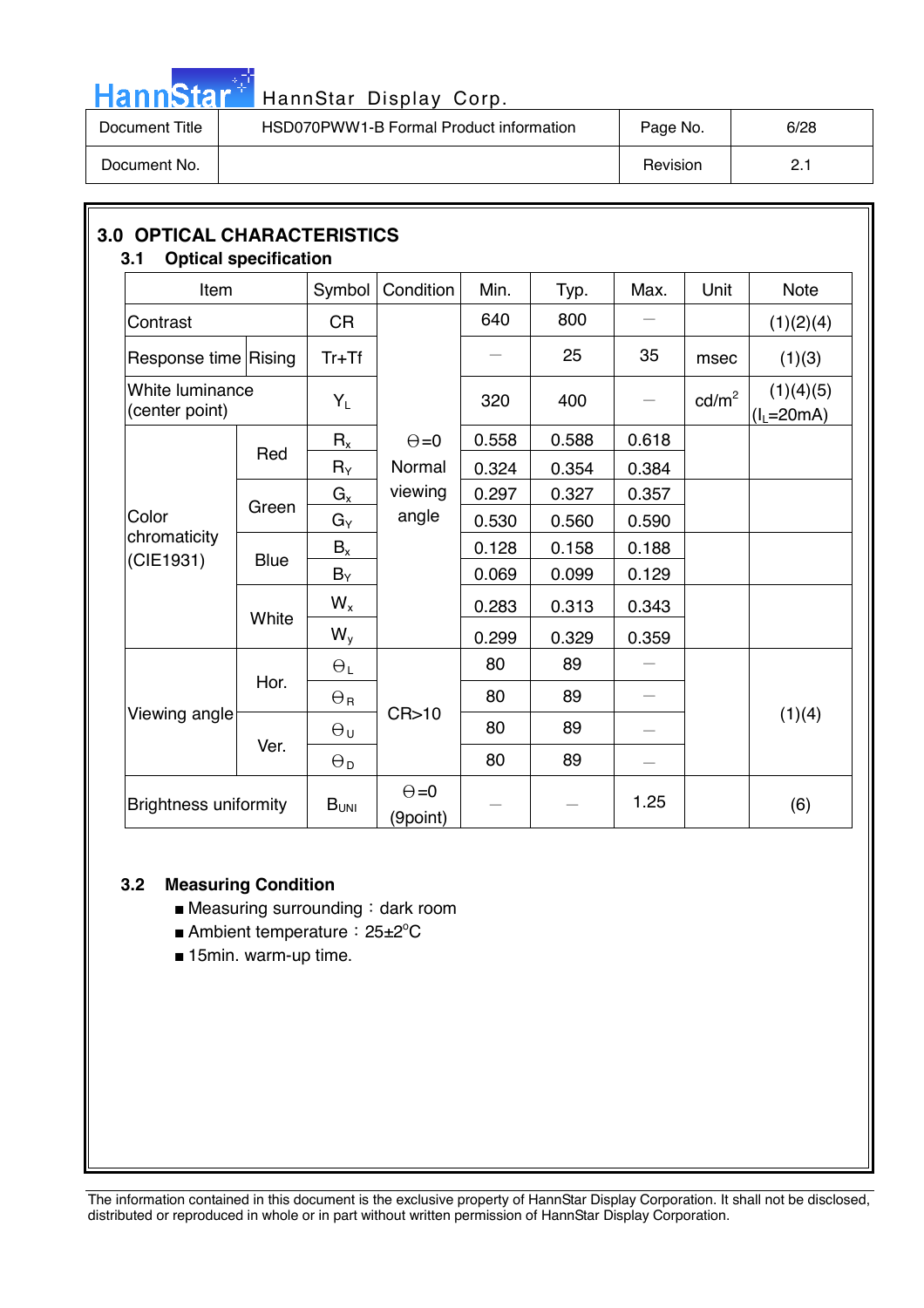

# HannStar<sup>t HannStar</sup> Display Corp.

| Document Title | HSD070PWW1-B Formal Product information | Page No. | 6/28 |
|----------------|-----------------------------------------|----------|------|
| Document No.   |                                         | Revision |      |

| Item                              |             | Symbol                | Condition    | Min.  | Typ.  | Max.                     | Unit              | <b>Note</b>              |
|-----------------------------------|-------------|-----------------------|--------------|-------|-------|--------------------------|-------------------|--------------------------|
| Contrast                          |             | <b>CR</b>             |              | 640   | 800   |                          |                   | (1)(2)(4)                |
| Response time Rising              |             | $Tr+Tf$               |              |       | 25    | 35                       | msec              | (1)(3)                   |
| White luminance<br>(center point) |             | $Y_L$                 |              | 320   | 400   |                          | cd/m <sup>2</sup> | (1)(4)(5)<br>$(lL=20mA)$ |
|                                   | Red         | $R_{x}$               | $\Theta = 0$ | 0.558 | 0.588 | 0.618                    |                   |                          |
|                                   |             | $R_Y$                 | Normal       | 0.324 | 0.354 | 0.384                    |                   |                          |
|                                   | Green       | $G_{x}$               | viewing      | 0.297 | 0.327 | 0.357                    |                   |                          |
| Color<br>chromaticity             |             | $G_Y$                 | angle        | 0.530 | 0.560 | 0.590                    |                   |                          |
| (CIE1931)                         | <b>Blue</b> | $B_{x}$               |              | 0.128 | 0.158 | 0.188                    |                   |                          |
|                                   |             | $B_Y$                 |              | 0.069 | 0.099 | 0.129                    |                   |                          |
|                                   | White       | $W_{x}$               |              | 0.283 | 0.313 | 0.343                    |                   |                          |
|                                   |             | $W_{y}$               |              | 0.299 | 0.329 | 0.359                    |                   |                          |
|                                   |             | $\Theta_L$            |              | 80    | 89    |                          |                   |                          |
| Viewing angle                     | Hor.        | $\Theta$ R            |              | 80    | 89    | $\overline{\phantom{0}}$ |                   |                          |
|                                   |             | $\Theta_{\mathsf{U}}$ | CR > 10      | 80    | 89    |                          |                   | (1)(4)                   |
|                                   | Ver.        | $\Theta_{\mathsf{D}}$ |              | 80    | 89    |                          |                   |                          |

### **3.2 Measuring Condition**

- $\blacksquare$  Measuring surrounding : dark room
- Ambient temperature: 25±2°C
- 15min. warm-up time.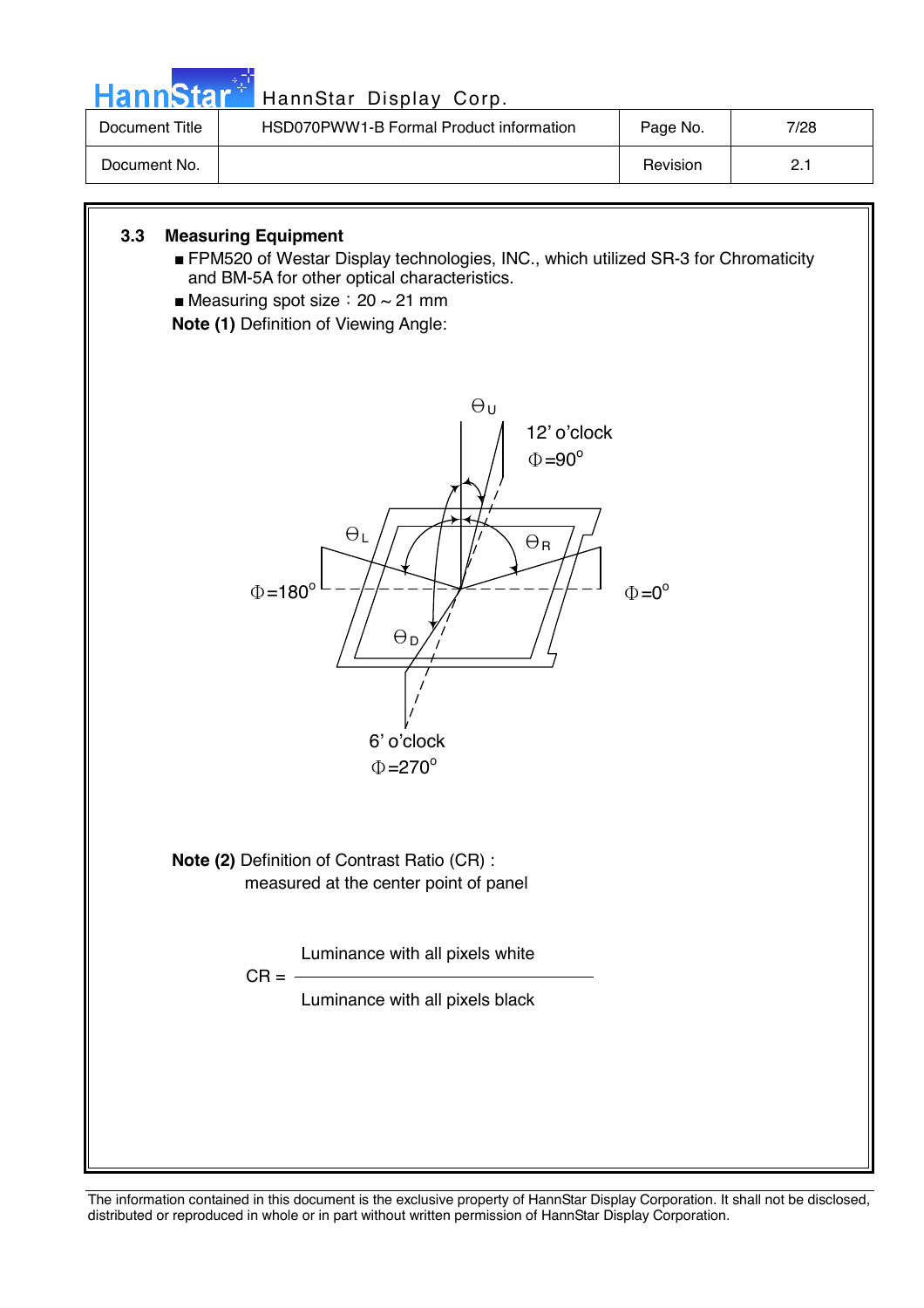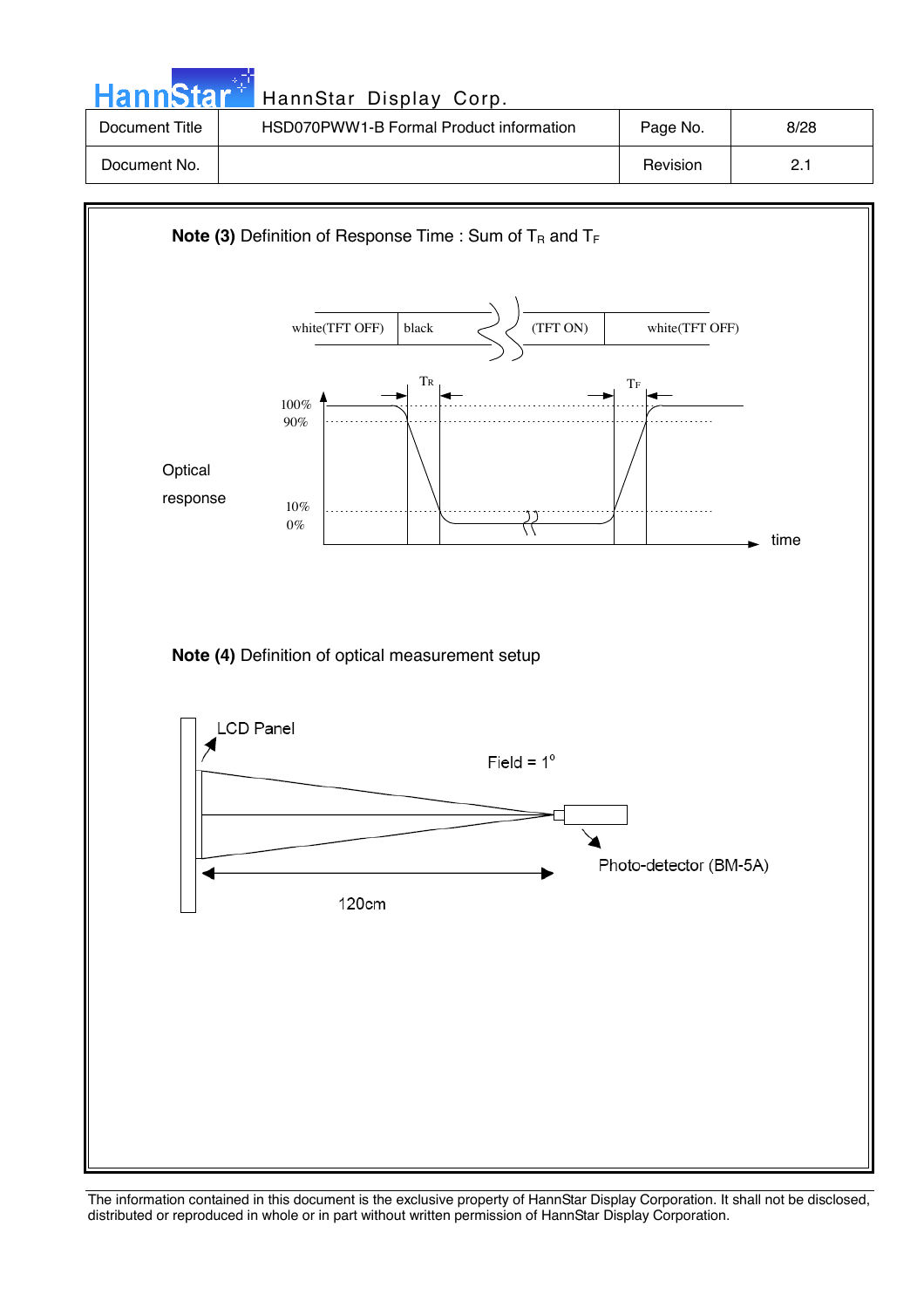| <b>HannStar</b> | HannStar Display Corp.                  |          |      |
|-----------------|-----------------------------------------|----------|------|
| Document Title  | HSD070PWW1-B Formal Product information | Page No. | 8/28 |
| Document No.    |                                         | Revision | 2.1  |

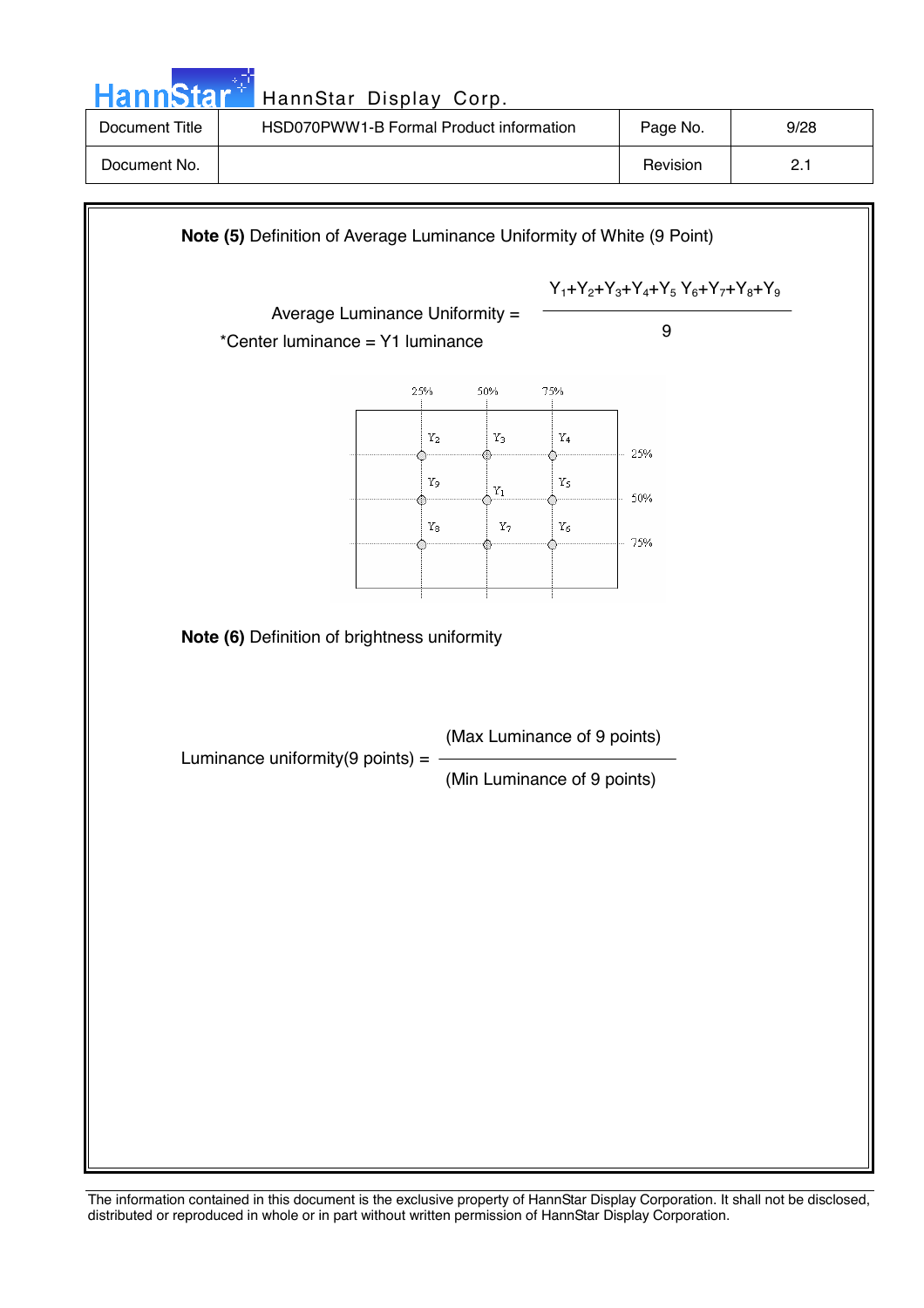| HannStar <sup>+</sup> | HannStar Display Corp.                  |          |      |
|-----------------------|-----------------------------------------|----------|------|
| Document Title        | HSD070PWW1-B Formal Product information | Page No. | 9/28 |
| Document No.          |                                         | Revision | 2.1  |
|                       |                                         |          |      |

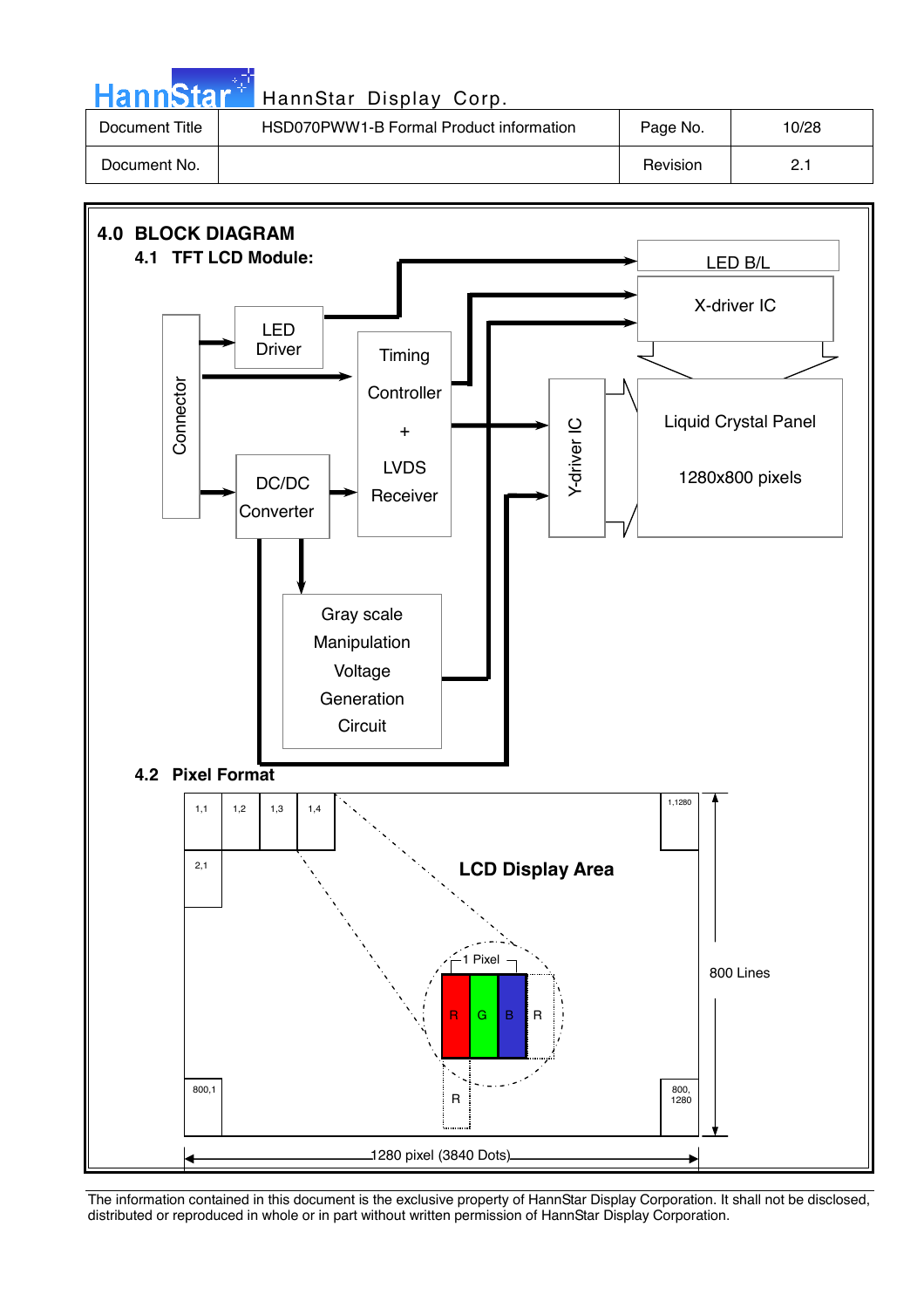| HannStar <sup>+</sup> | HannStar Display Corp.                  |          |       |
|-----------------------|-----------------------------------------|----------|-------|
| Document Title        | HSD070PWW1-B Formal Product information | Page No. | 10/28 |
|                       |                                         |          |       |

Document No. 2.1

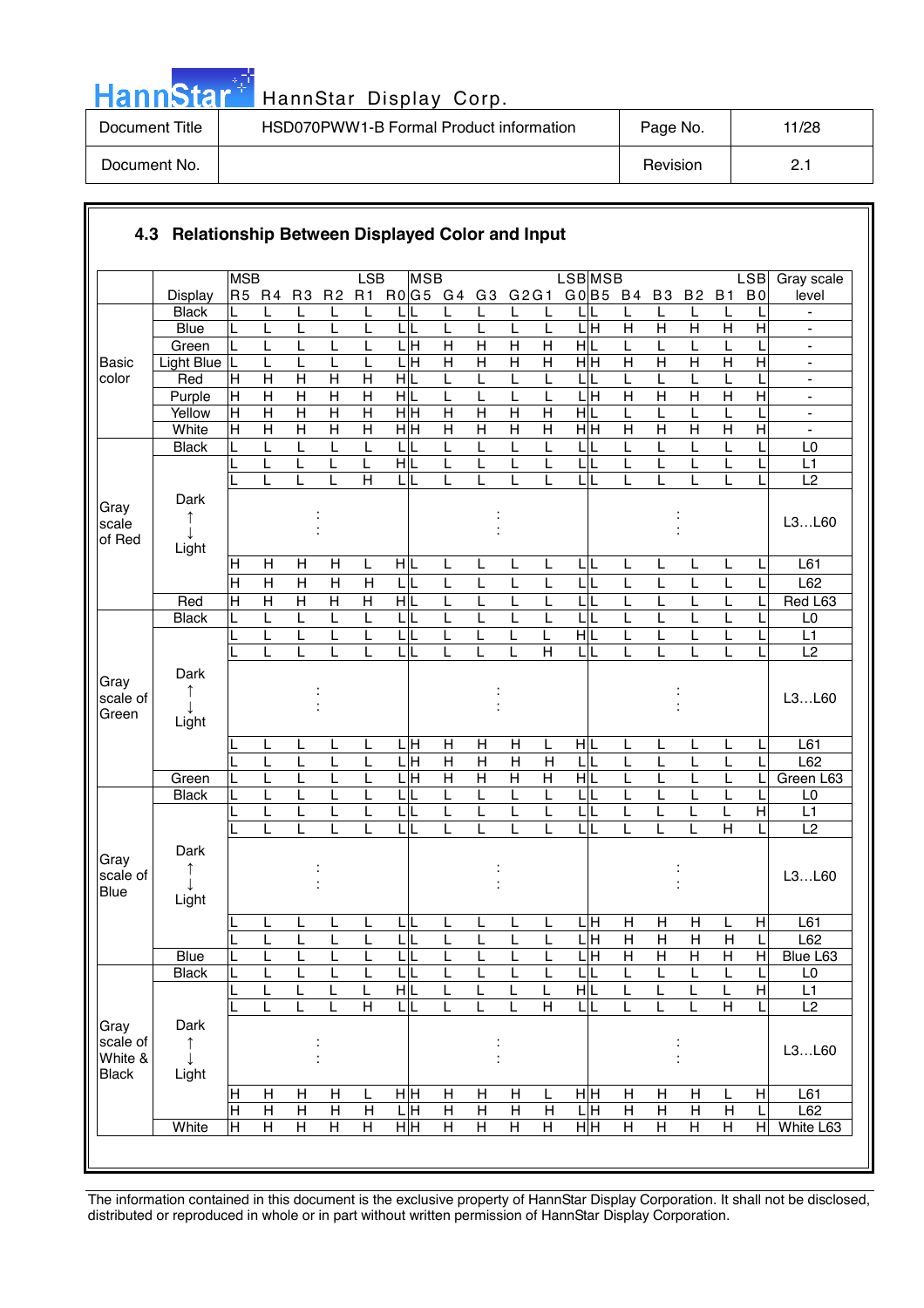|  |  | annst |  |
|--|--|-------|--|
|  |  |       |  |

| Document Title | HSD070PWW1-B Formal Product information | Page No. | 11/28 |
|----------------|-----------------------------------------|----------|-------|
| Document No.   |                                         | Revision |       |

|                                             |                                        | <b>MSB</b>              |                              |                                         |                                | LSB                     | <b>MSB</b>                         |                |                |                         |                         | <b>LSB</b> MSB                       |                     |                              |                              |                         | <b>LSB</b>     | Gray scale                                 |
|---------------------------------------------|----------------------------------------|-------------------------|------------------------------|-----------------------------------------|--------------------------------|-------------------------|------------------------------------|----------------|----------------|-------------------------|-------------------------|--------------------------------------|---------------------|------------------------------|------------------------------|-------------------------|----------------|--------------------------------------------|
|                                             | <b>Display</b>                         | R5 R4                   |                              | R <sub>3</sub>                          | R <sub>2</sub>                 |                         | R1 R0 G5 G4                        |                | G3             | G2G1                    |                         | G0 B5 B4                             |                     | B <sub>3</sub>               | <b>B2</b>                    | <b>B1</b>               | B <sub>0</sub> | level                                      |
|                                             | <b>Black</b>                           |                         |                              | L                                       | L                              |                         |                                    |                |                | L                       | L                       | L                                    |                     | L                            | L                            |                         |                |                                            |
|                                             | <b>Blue</b>                            | L                       | L                            | L                                       | L                              | L                       | L<br>IL                            | L              | L              | L                       | L                       | $\frac{}{\mathbf{H}}$                | $\overline{H}$      | $\overline{\mathsf{H}}$      | $\overline{H}$               | $\overline{\mathsf{H}}$ | $\overline{H}$ | $\blacksquare$                             |
|                                             | Green                                  |                         | L                            | L                                       |                                |                         | Π<br>L                             | $\overline{H}$ | $\overline{H}$ | $\overline{H}$          | $\overline{H}$          | $\overline{H}$                       | L                   |                              | L                            |                         |                | $\blacksquare$                             |
| <b>Basic</b>                                | <b>Light Blue</b>                      |                         |                              | L                                       |                                | L                       | Ξ                                  | $\overline{H}$ | $\overline{H}$ | $\mathsf{H}$            | $\overline{\mathsf{H}}$ | H H                                  | $\overline{H}$      | $\overline{H}$               | $\overline{H}$               | $\overline{H}$          | $\overline{H}$ | $\blacksquare$                             |
| color                                       | Red<br>Purple                          | Н<br>$\overline{H}$     | Η<br>$\overline{\mathsf{H}}$ | $\mathsf{H}$<br>$\overline{\mathsf{H}}$ | $\mathsf{H}$<br>$\overline{H}$ | Н<br>$\overline{H}$     | HL<br>$\overline{H}$               | L<br>L         | L              | L<br>L                  | L<br>L                  | L<br>$\frac{\mathsf{r}}{\mathsf{H}}$ | L<br>$\overline{H}$ | L<br>$\overline{\mathsf{H}}$ | L<br>$\overline{\mathsf{H}}$ | $\overline{H}$          | $\overline{H}$ | $\overline{\phantom{a}}$<br>$\blacksquare$ |
|                                             | Yellow                                 | $\overline{H}$          | $\overline{H}$               | $\overline{\mathsf{H}}$                 | $\overline{H}$                 | $\overline{H}$          | $\frac{}{\mathbf H}$               | $\overline{H}$ | $\overline{H}$ | $\overline{\mathsf{H}}$ | $\overline{\mathsf{H}}$ | H L                                  | L                   | L                            | L                            |                         | $\mathbf{I}$   | $\blacksquare$                             |
|                                             | White                                  | $\overline{H}$          | $\overline{H}$               | $\overline{H}$                          | $\overline{H}$                 | $\overline{H}$          | $\overline{\overline{\mathbf{H}}}$ | $\overline{H}$ | $\overline{H}$ | $\overline{H}$          | $\overline{\mathsf{H}}$ | $\overline{H}$                       | $\overline{H}$      | $\overline{H}$               | $\overline{H}$               | H                       | $\overline{H}$ |                                            |
|                                             | <b>Black</b>                           |                         | L                            | L                                       | L                              | L                       | LIL                                | L              | L              | L                       | L                       | L                                    | L                   |                              | L                            |                         |                | L <sub>0</sub>                             |
|                                             |                                        |                         | L                            | L                                       | L                              | L                       | HL                                 | L              | L              | L                       | L                       | L L                                  | L                   | L                            | L                            | L                       | L              | L1                                         |
|                                             |                                        |                         | L                            | L                                       | L                              | $\overline{H}$          | LIL                                | L              | L              | L                       | L                       | LIL                                  | L                   | L                            | L                            | L                       |                | L2                                         |
| Gray<br>scale<br>of Red                     | Dark<br>Light                          |                         |                              |                                         |                                |                         |                                    |                |                |                         |                         |                                      |                     |                              |                              |                         |                | L3L60                                      |
|                                             |                                        | Н                       | H                            | $\mathsf{H}$                            | $\mathsf{H}$                   | L                       | HIL                                | L              | L              | L                       | L                       | LL                                   | L                   | L                            | L                            | L                       |                | L61                                        |
|                                             |                                        | $\overline{\mathsf{H}}$ | $\overline{\mathsf{H}}$      | $\overline{\mathsf{H}}$                 | $\overline{H}$                 | $\overline{H}$          | LL                                 | L              | L              | L                       | L                       | LL                                   | L                   | L                            | L                            | L                       |                | L62                                        |
|                                             | Red                                    | $\overline{H}$          | $\overline{H}$               | $\overline{H}$                          | $\overline{H}$                 | $\overline{H}$          | $\overline{H}$                     | L              | L              | L                       | L                       | LIL                                  | L                   | L                            | L                            | L                       |                | Red L63                                    |
|                                             | <b>Black</b>                           | L                       | L                            | L                                       | L                              | L                       | LL                                 | L              | L              | L                       | L                       | LL                                   | L                   | L                            | L                            | L                       | L              | L <sub>0</sub>                             |
|                                             |                                        |                         | L                            | L                                       |                                | L                       | ЦL                                 | L              |                |                         | L                       | H L                                  | L                   |                              | L                            |                         |                | L1                                         |
|                                             |                                        |                         | L                            | L                                       |                                |                         | L                                  | L              |                |                         | Η                       | L                                    |                     |                              | L                            |                         |                | $\overline{L2}$                            |
| Gray<br>scale of<br>Green                   | Dark<br>$\uparrow$<br>Light            |                         |                              |                                         |                                |                         |                                    |                |                |                         |                         |                                      |                     |                              |                              |                         |                | L3L60                                      |
|                                             |                                        |                         | L                            | L                                       |                                | L                       | ļН                                 | H              | H              | H                       | L                       | HL                                   | L                   |                              | L                            |                         | L              | L61                                        |
|                                             |                                        |                         | L                            | L                                       | L                              | L                       | 믘                                  | $\overline{H}$ | $\overline{H}$ | $\overline{H}$          | $\mathsf{H}$            | L                                    | L                   | L                            | L                            | L                       | L              | L62                                        |
|                                             | Green                                  |                         | L                            | L                                       |                                | L                       | .H<br>L                            | $\overline{H}$ | $\overline{H}$ | $\overline{H}$          | $\overline{\mathsf{H}}$ | H L                                  | L                   | L                            | L                            |                         |                | Green L63                                  |
|                                             | <b>Black</b>                           |                         | L                            | L                                       |                                | L                       | L                                  | L              | L              | L                       | L                       | τī                                   | L                   |                              | L                            |                         |                | L <sub>0</sub>                             |
|                                             |                                        |                         |                              | L                                       |                                |                         | L                                  | L              |                | L                       | L                       | L                                    |                     |                              | L                            |                         | $\mathsf{H}$   | L1                                         |
|                                             |                                        |                         |                              |                                         |                                |                         | L                                  | L              |                |                         | L                       | L                                    |                     |                              | L                            | Η                       |                | $\overline{L2}$                            |
| Gray<br>scale of<br>Blue                    | Dark<br>Light                          |                         |                              |                                         |                                |                         |                                    |                |                |                         |                         |                                      |                     |                              |                              |                         |                | L3L60                                      |
|                                             |                                        |                         | ட                            | ┕                                       | щ                              | ட                       | 니니                                 | ┕              | ┕              | ட                       | ┕                       | 믘                                    | H                   | $\mathsf{H}$                 | $\mathsf{H}$                 | L,                      | $\mathbf{H}$   | L61                                        |
|                                             |                                        |                         | L                            | L                                       | L                              | L                       | LIL                                | L              | L              | L                       | L                       | 믘                                    | $\overline{H}$      | $\mathsf{H}$                 | $\mathsf{H}$                 | $\mathsf{H}$            | L              | L62                                        |
|                                             | <b>Blue</b>                            |                         | L                            | L                                       |                                |                         | LIL                                | L              |                | L                       | L                       | L H                                  | Н                   | Н                            | Н                            | Н                       | н              | Blue L63                                   |
|                                             | <b>Black</b>                           |                         |                              | L                                       |                                |                         | L                                  | L              |                | L                       | L                       | Ĺ,                                   |                     | L                            | L                            |                         |                | $\mathsf{L0}$                              |
|                                             |                                        |                         | L                            | L                                       | L                              | Г                       | H L                                | L              |                | L                       | L                       | H L                                  | L                   |                              | L                            | L                       | $\mathsf{H}$   | L1                                         |
|                                             |                                        |                         | L                            | L                                       | L                              | $\overline{\mathsf{H}}$ | LL                                 | L              | L              |                         | $\overline{\mathsf{H}}$ | LL                                   |                     | L                            | L                            | $\overline{H}$          |                | $\overline{L2}$                            |
| Gray<br>scale of<br>White &<br><b>Black</b> | Dark<br>$\uparrow$<br>$\perp$<br>Light |                         |                              |                                         |                                |                         |                                    |                |                |                         |                         |                                      |                     |                              |                              |                         |                | L3L60                                      |
|                                             |                                        | H                       | Н                            | H                                       | H                              | L                       | нH                                 | H              | Н              | H                       | L                       | нµ                                   | Н                   | Н                            | H                            |                         | $\mathsf{H}$   | L61                                        |
|                                             |                                        | $\overline{\mathsf{H}}$ | $\overline{H}$               | $\overline{H}$                          | $\overline{H}$                 | $\overline{H}$          | 믘                                  | $\overline{H}$ | $\overline{H}$ | $\overline{H}$          | $\overline{H}$          | 듴                                    | $\overline{H}$      | $\overline{H}$               | $\overline{H}$               | $\overline{H}$          | L              | L62                                        |
|                                             | White                                  | $\overline{H}$          | $\overline{H}$               | $\overline{H}$                          | $\overline{H}$                 | $\overline{H}$          | H H                                | $\overline{H}$ | $\overline{H}$ | $\overline{H}$          | $\overline{H}$          | H H                                  | $\overline{H}$      | $\overline{H}$               | $\overline{H}$               | $\overline{H}$          | Η              | White L63                                  |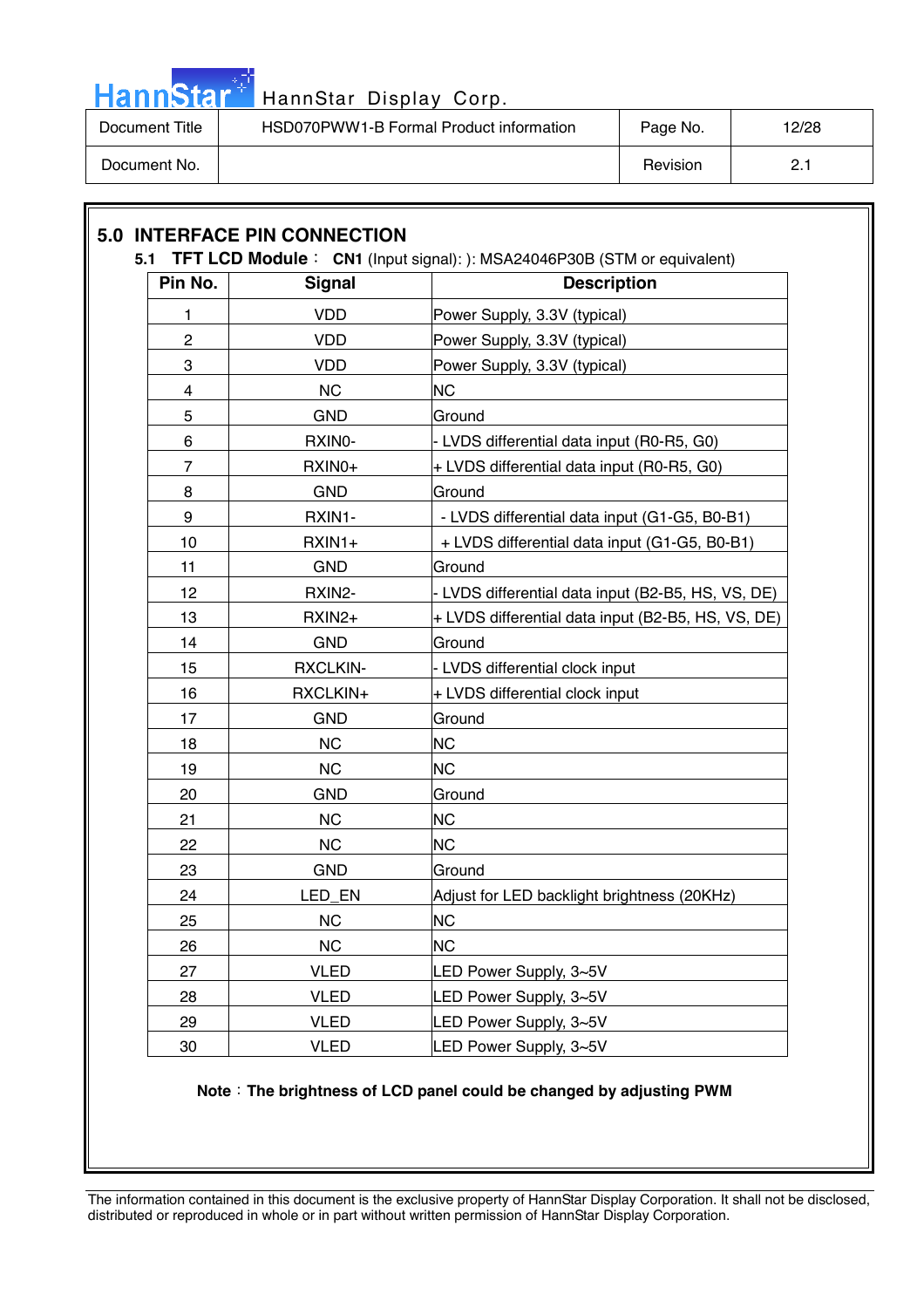

# Hann Star<sup>47</sup> HannStar Display Corp.

| Document Title | HSD070PWW1-B Formal Product information | Page No. | 12/28 |
|----------------|-----------------------------------------|----------|-------|
| Document No.   |                                         | Revision | --    |

### **5.0 INTERFACE PIN CONNECTION 5.1 TFT LCD Module**: CN1 (Input signal): ): MSA24046P30B (STM or equivalent) **Pin No.** Signal **Description** 1 | VDD | Power Supply, 3.3V (typical) 2 | VDD | Power Supply, 3.3V (typical) 3 VDD Power Supply, 3.3V (typical) 4 | NC | NC 5 GND Ground 6 | RXINO- | LVDS differential data input (RO-R5, G0)  $7$  | RXINO+  $+$  LVDS differential data input (RO-R5, G0) 8 GND Ground 9 | RXIN1- | - LVDS differential data input (G1-G5, B0-B1) 10 | RXIN1+ + + LVDS differential data input (G1-G5, B0-B1) 11 | GND Ground 12 | RXIN2- - LVDS differential data input (B2-B5, HS, VS, DE) 13 | RXIN2+ + LVDS differential data input (B2-B5, HS, VS, DE) 14 GND Ground 15 | RXCLKIN- | LVDS differential clock input  $16$  RXCLKIN+  $+$  LVDS differential clock input 17 | GND Ground 18 | NC NC 19 NC NC 20 | GND Ground 21 | NC NC 22 NC NC 23 | GND Ground 24 | LED\_EN Adjust for LED backlight brightness (20KHz) 25 NC NC 26 NC NC 27 VLED LED Power Supply, 3~5V 28 VLED LED Power Supply, 3~5V 29 | VLED LED Power Supply, 3~5V 30 | VLED | LED Power Supply, 3~5V

### Note: The brightness of LCD panel could be changed by adjusting PWM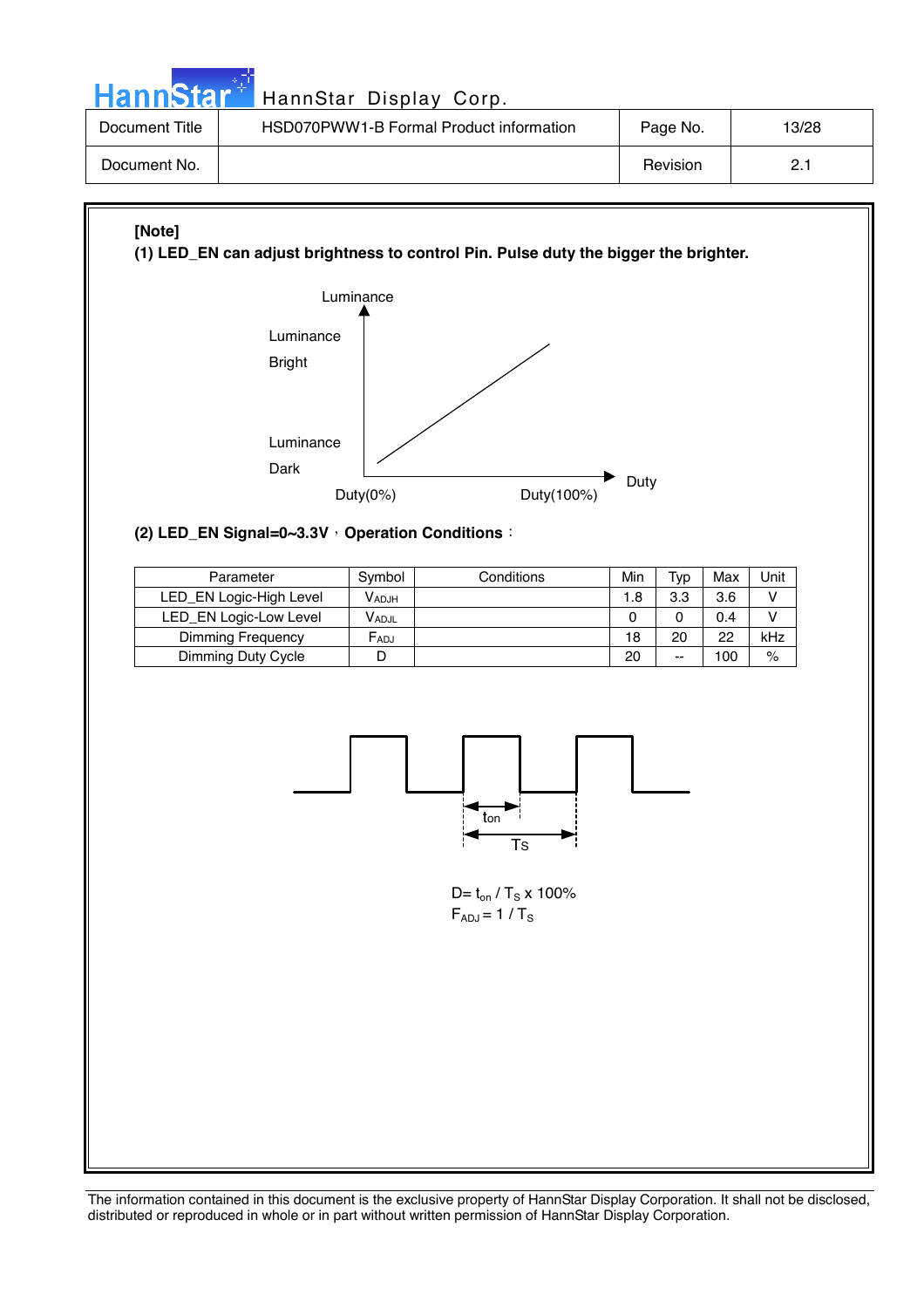# Hann Star<sup>t H</sup> HannStar Display Corp.

| Document Title | HSD070PWW1-B Formal Product information | Page No. | 13/28 |
|----------------|-----------------------------------------|----------|-------|
| Document No.   |                                         | Revision |       |

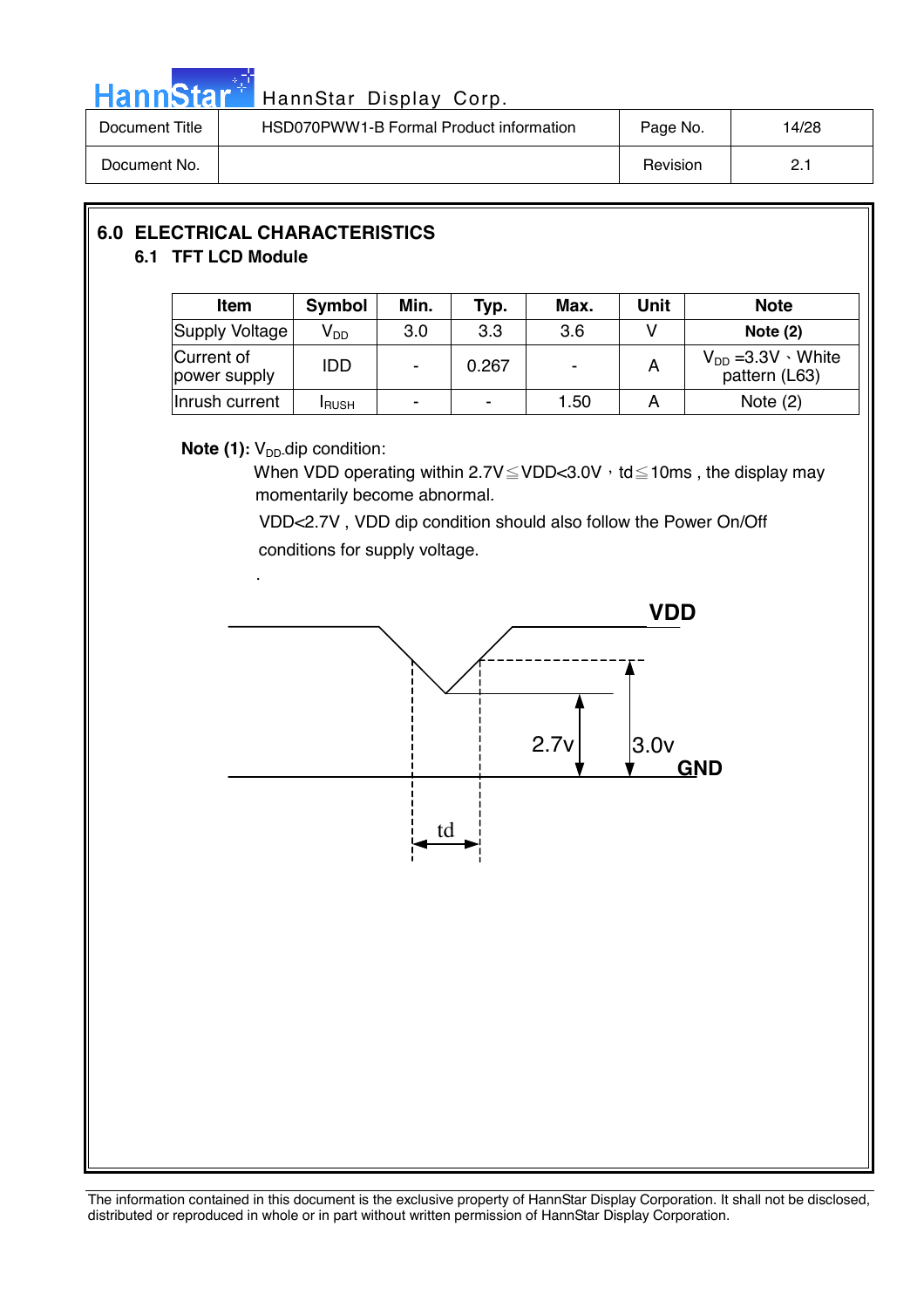

| Document Title | HSD070PWW1-B Formal Product information | Page No. | 14/28 |
|----------------|-----------------------------------------|----------|-------|
| Document No.   |                                         | Revision |       |

### **6.0 ELECTRICAL CHARACTERISTICS 6.1 TFT LCD Module**

| <b>Item</b>                | <b>Symbol</b>   | Min. | Typ.   | Max. | Unit | <b>Note</b>                                  |
|----------------------------|-----------------|------|--------|------|------|----------------------------------------------|
| Supply Voltage             | V <sub>DD</sub> | 3.0  | 3.3    | 3.6  |      | Note $(2)$                                   |
| Current of<br>power supply | <b>IDD</b>      |      | 0.267  |      | A    | $V_{DD} = 3.3V \cdot White$<br>pattern (L63) |
| Inrush current             | <b>I</b> RUSH   | -    | $\sim$ | 1.50 |      | Note $(2)$                                   |

### **Note (1):** V<sub>DD</sub>-dip condition:

When VDD operating within  $2.7V \leq VDD < 3.0V$ , td $\leq$ 10ms, the display may momentarily become abnormal.

 VDD<2.7V , VDD dip condition should also follow the Power On/Off conditions for supply voltage.

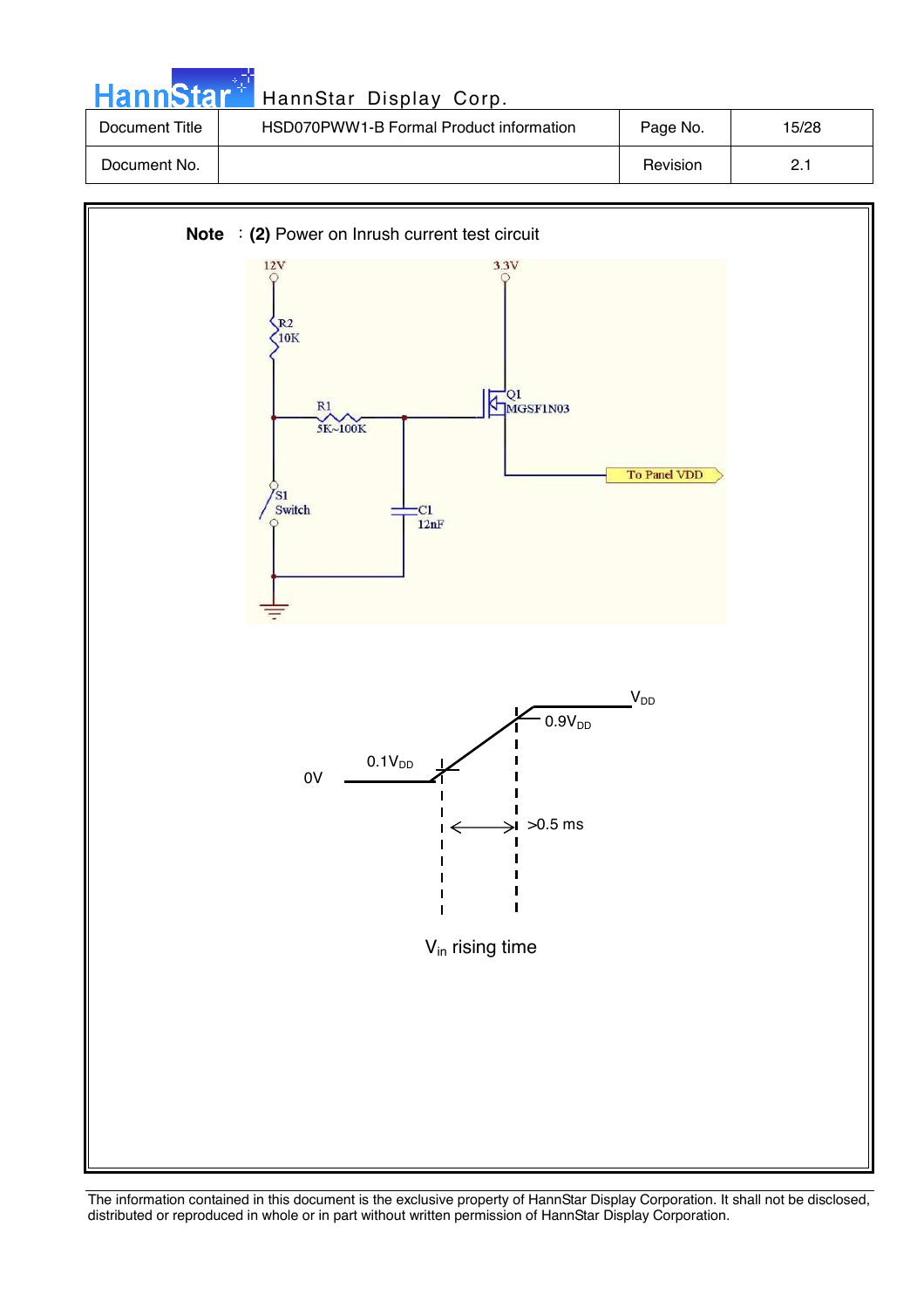| <b>HannStar</b> | HannStar Display Corp.                  |          |       |
|-----------------|-----------------------------------------|----------|-------|
| Document Title  | HSD070PWW1-B Formal Product information | Page No. | 15/28 |
| Document No.    |                                         | Revision | 2.1   |

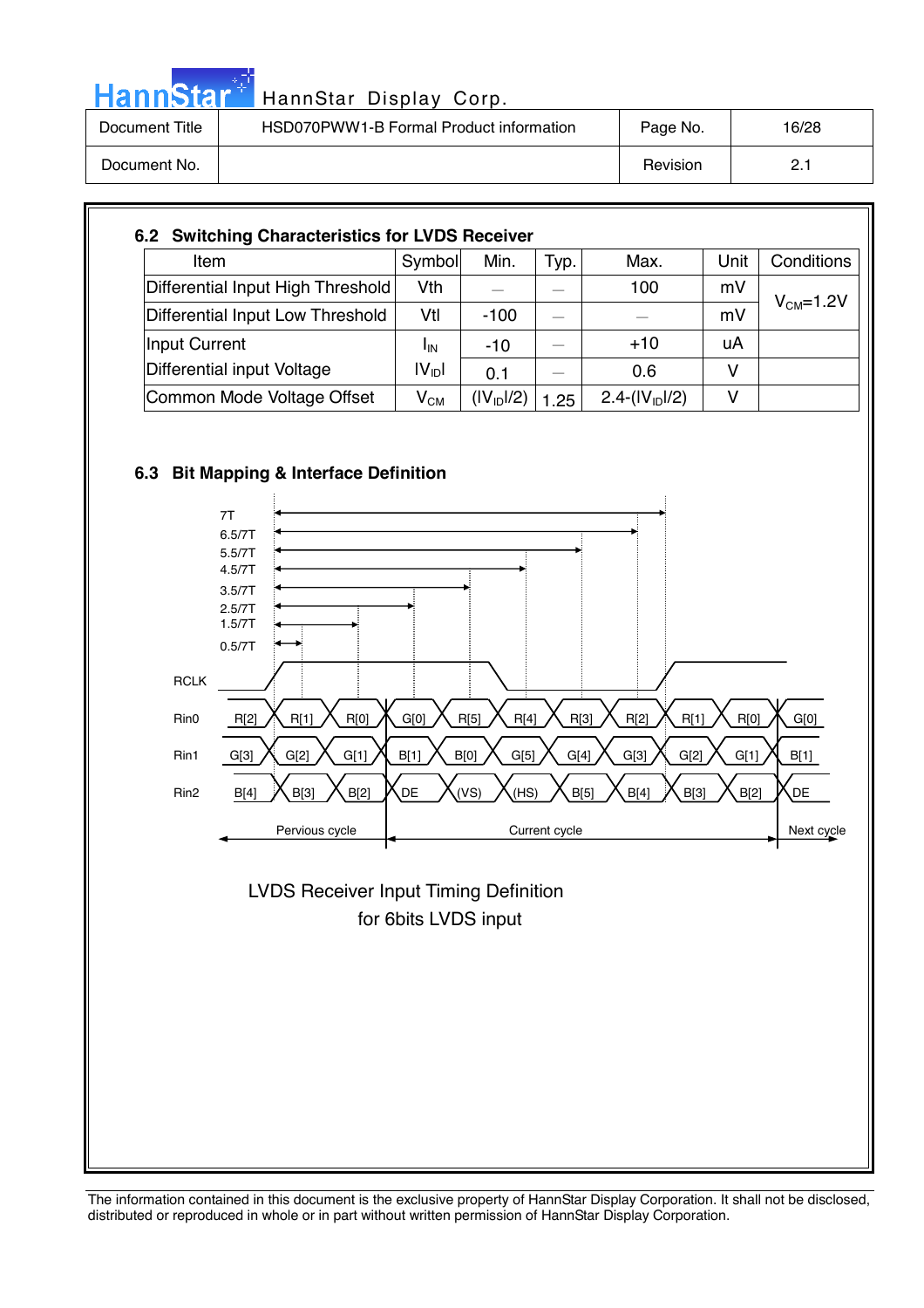|  |  | HannStar <b>'</b> |  |
|--|--|-------------------|--|
|  |  |                   |  |
|  |  |                   |  |

| Document Title | HSD070PWW1-B Formal Product information | Page No. | 16/28     |
|----------------|-----------------------------------------|----------|-----------|
| Document No.   |                                         | Revision | n.<br>- - |

| Item                              | Symbol                   | Min.                   | Typ. | Max.             | Unit | Conditions      |
|-----------------------------------|--------------------------|------------------------|------|------------------|------|-----------------|
| Differential Input High Threshold | Vth                      |                        |      | 100              | mV   |                 |
| Differential Input Low Threshold  | Vtl                      | $-100$                 |      |                  | mV   | $V_{CM} = 1.2V$ |
| Input Current                     | <b>I</b> IN              | $-10$                  |      | $+10$            | uA   |                 |
| Differential input Voltage        | $ V_{\text{ID}} $        | 0.1                    |      | 0.6              | v    |                 |
| Common Mode Voltage Offset        | $\mathsf{V}_\mathsf{CM}$ | (IV <sub>ID</sub> 1/2) | 1.25 | 2.4- $(IVID1/2)$ | v    |                 |





 for 6bits LVDS input LVDS Receiver Input Timing Definition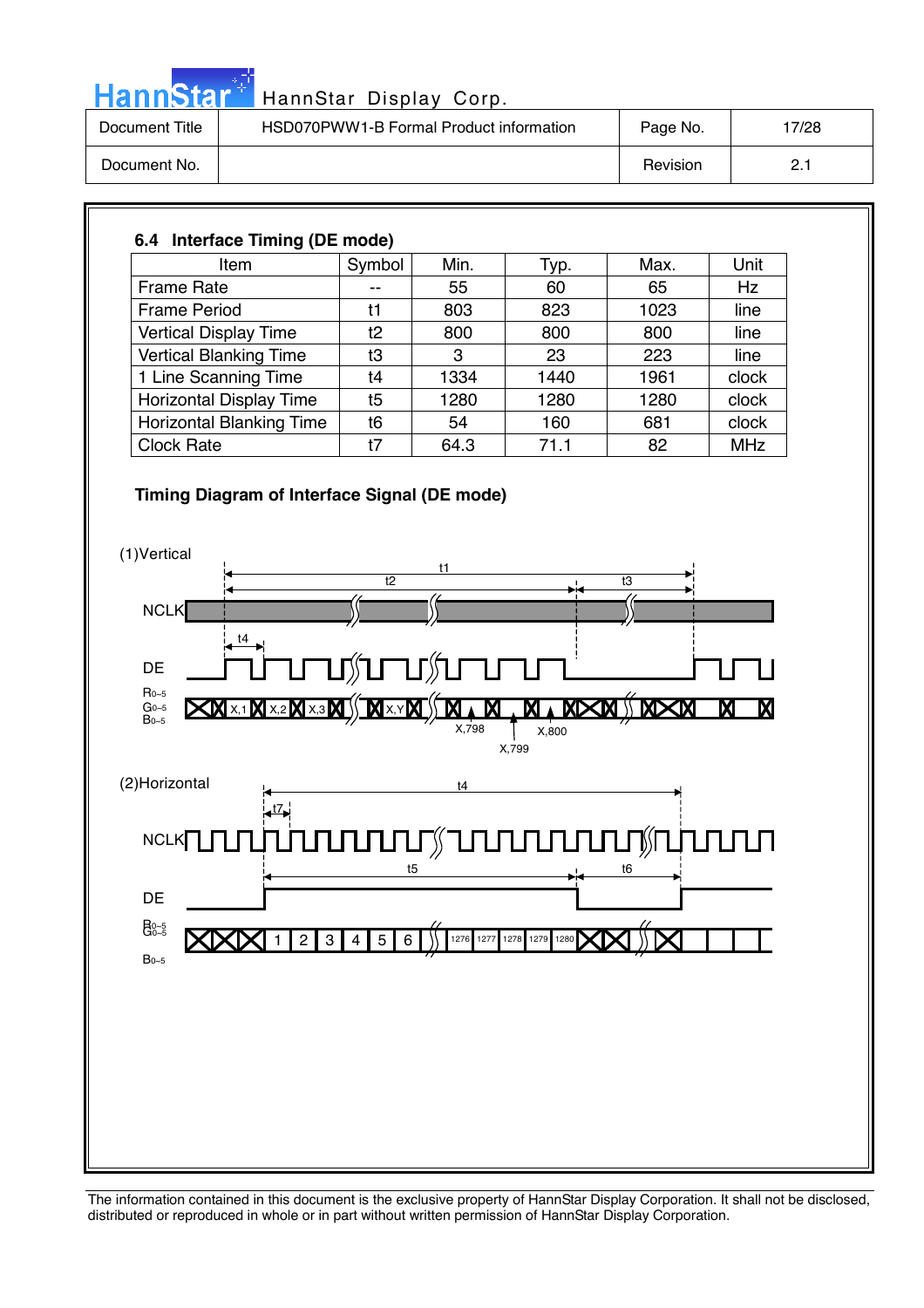|  | ann | > |  |
|--|-----|---|--|
|  |     |   |  |

| Document Title | HSD070PWW1-B Formal Product information | Page No. | 7/28 |
|----------------|-----------------------------------------|----------|------|
| Document No.   |                                         | Revision |      |

### **6.4 Interface Timing (DE mode)**  Item  $\vert$  Symbol | Min. | Typ. | Max. | Unit Frame Rate  $| - | 55 | 60 | 65 | Hz$ Frame Period  $\begin{vmatrix} 11 & 803 & 823 \\ 80 & 623 & 1023 \end{vmatrix}$  line Vertical Display Time  $\begin{array}{|c|c|c|c|c|c|c|c|c|} \hline \end{array}$  800  $\begin{array}{|c|c|c|c|c|c|c|c|} \hline \end{array}$  800  $\begin{array}{|c|c|c|c|c|c|c|c|} \hline \end{array}$  800  $\begin{array}{|c|c|c|c|c|c|c|c|c|} \hline \end{array}$  800  $\begin{array}{|c|c|c|c|c|c|c|c|c|} \hline \end{array}$ Vertical Blanking Time t3 3 23 223 line 1 Line Scanning Time t4 1334 1440 1961 clock Horizontal Display Time | t5 | 1280 | 1280 | 1280 | clock Horizontal Blanking Time t6 54 160 681 clock Clock Rate 1 t7 64.3 71.1 82 MHz

### **Timing Diagram of Interface Signal (DE mode)**

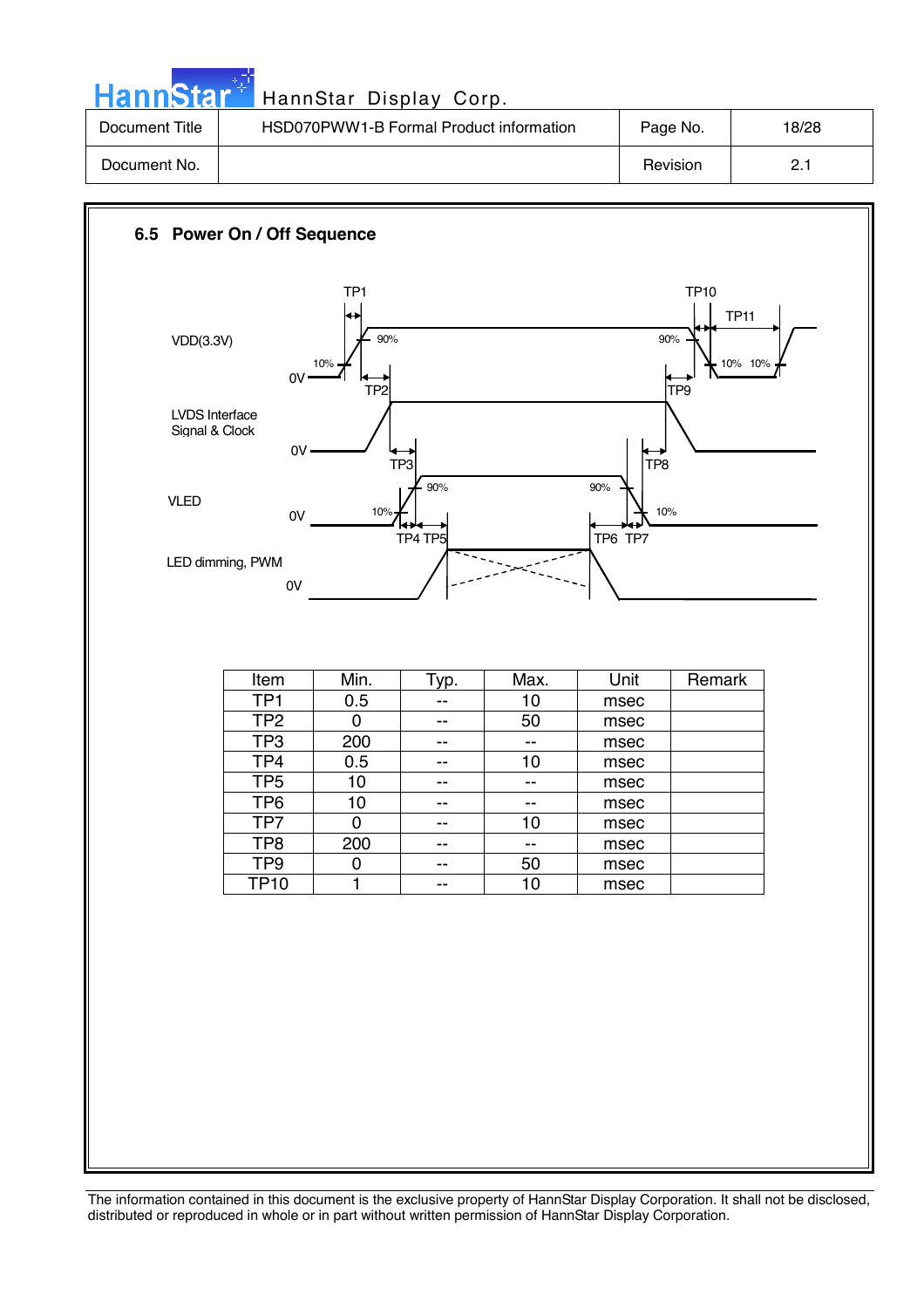| . .            |  |
|----------------|--|
|                |  |
| lannSta<br>. . |  |

| Document Title | HSD070PWW1-B Formal Product information | Page No. | 18/28 |
|----------------|-----------------------------------------|----------|-------|
| Document No.   |                                         | Revision |       |

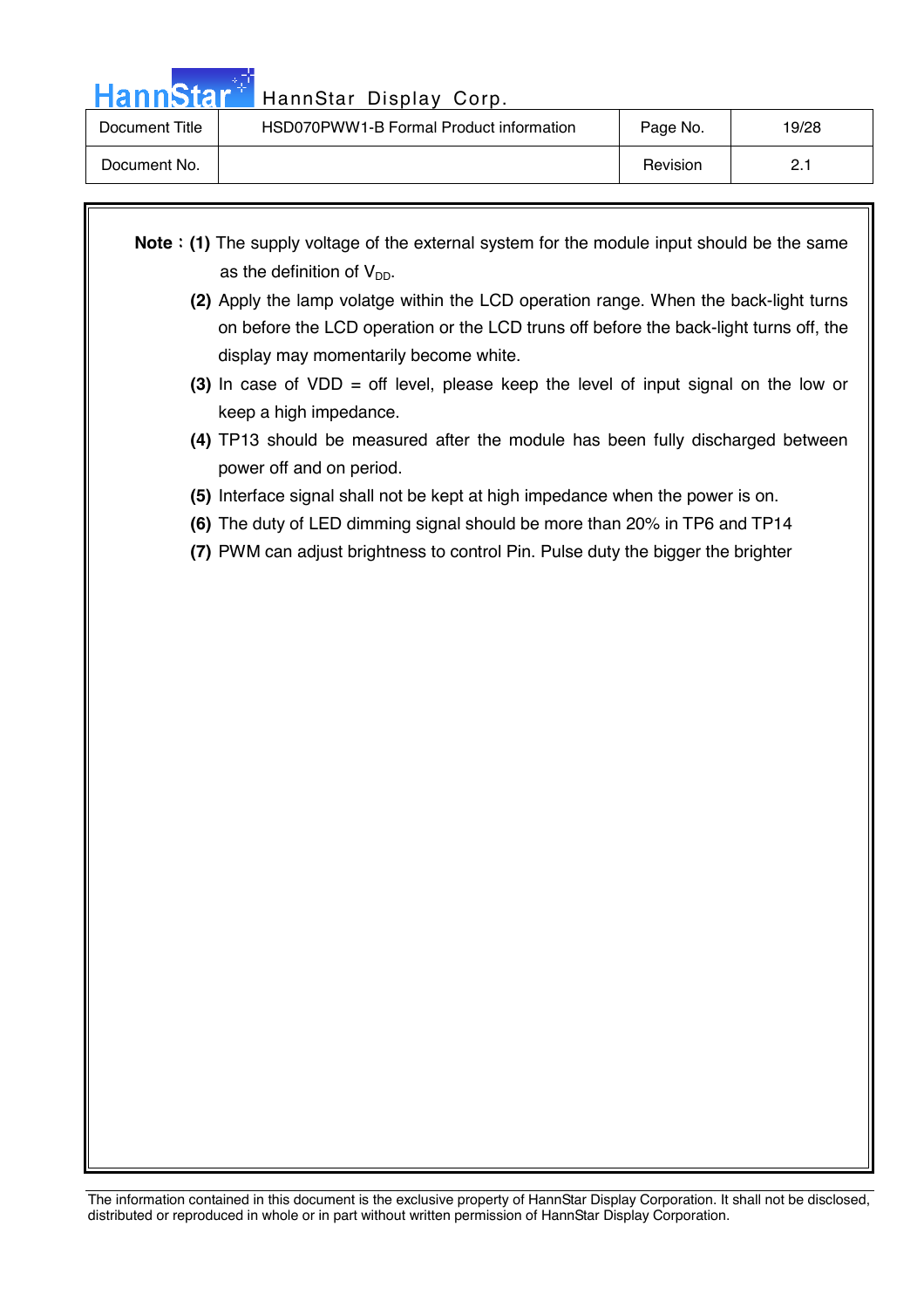|--|

| Document Title | HSD070PWW1-B Formal Product information | Page No. | 19/28 |
|----------------|-----------------------------------------|----------|-------|
| Document No.   |                                         | Revision |       |

- **Note**: (1) The supply voltage of the external system for the module input should be the same as the definition of  $V_{DD}$ .
	- **(2)** Apply the lamp volatge within the LCD operation range. When the back-light turns on before the LCD operation or the LCD truns off before the back-light turns off, the display may momentarily become white.
	- **(3)** In case of VDD = off level, please keep the level of input signal on the low or keep a high impedance.
	- **(4)** TP13 should be measured after the module has been fully discharged between power off and on period.
	- **(5)** Interface signal shall not be kept at high impedance when the power is on.
	- **(6)** The duty of LED dimming signal should be more than 20% in TP6 and TP14
	- **(7)** PWM can adjust brightness to control Pin. Pulse duty the bigger the brighter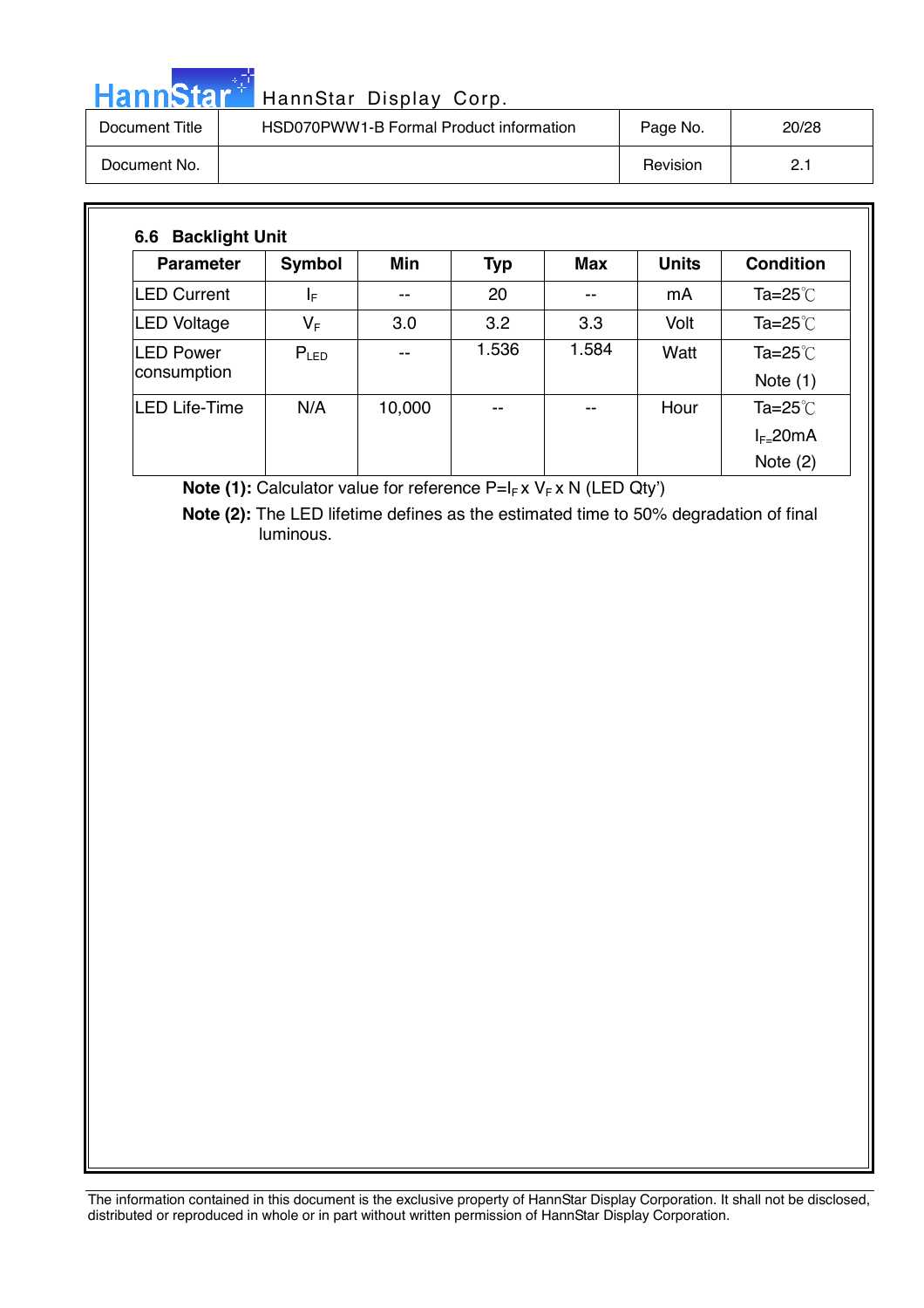# HannStar<sup>t HannStar Display Corp.</sup>

| Document Title | HSD070PWW1-B Formal Product information | Page No. | 20/28 |
|----------------|-----------------------------------------|----------|-------|
| Document No.   |                                         | Revision |       |

| <b>Parameter</b>                | <b>Symbol</b> | <b>Min</b> | <b>Typ</b> | Max   | <b>Units</b> | <b>Condition</b>         |
|---------------------------------|---------------|------------|------------|-------|--------------|--------------------------|
| <b>LED Current</b>              | ΙF            | --         | 20         |       | mA           | Ta=25 $°C$               |
| <b>LED Voltage</b>              | $V_F$         | 3.0        | 3.2        | 3.3   | Volt         | Ta=25 $°C$               |
| <b>LED Power</b><br>consumption | $P_{LED}$     | --         | 1.536      | 1.584 | Watt         | Ta=25 $°C$<br>Note $(1)$ |
| <b>LED Life-Time</b>            | N/A           | 10,000     | --         |       | Hour         | Ta=25 $°C$               |
|                                 |               |            |            |       |              | $I_{F=}$ 20mA            |
|                                 |               |            |            |       |              | Note $(2)$               |

**Note (1):** Calculator value for reference P=I<sub>F</sub> x V<sub>F</sub> x N (LED Qty')

 **Note (2):** The LED lifetime defines as the estimated time to 50% degradation of final luminous.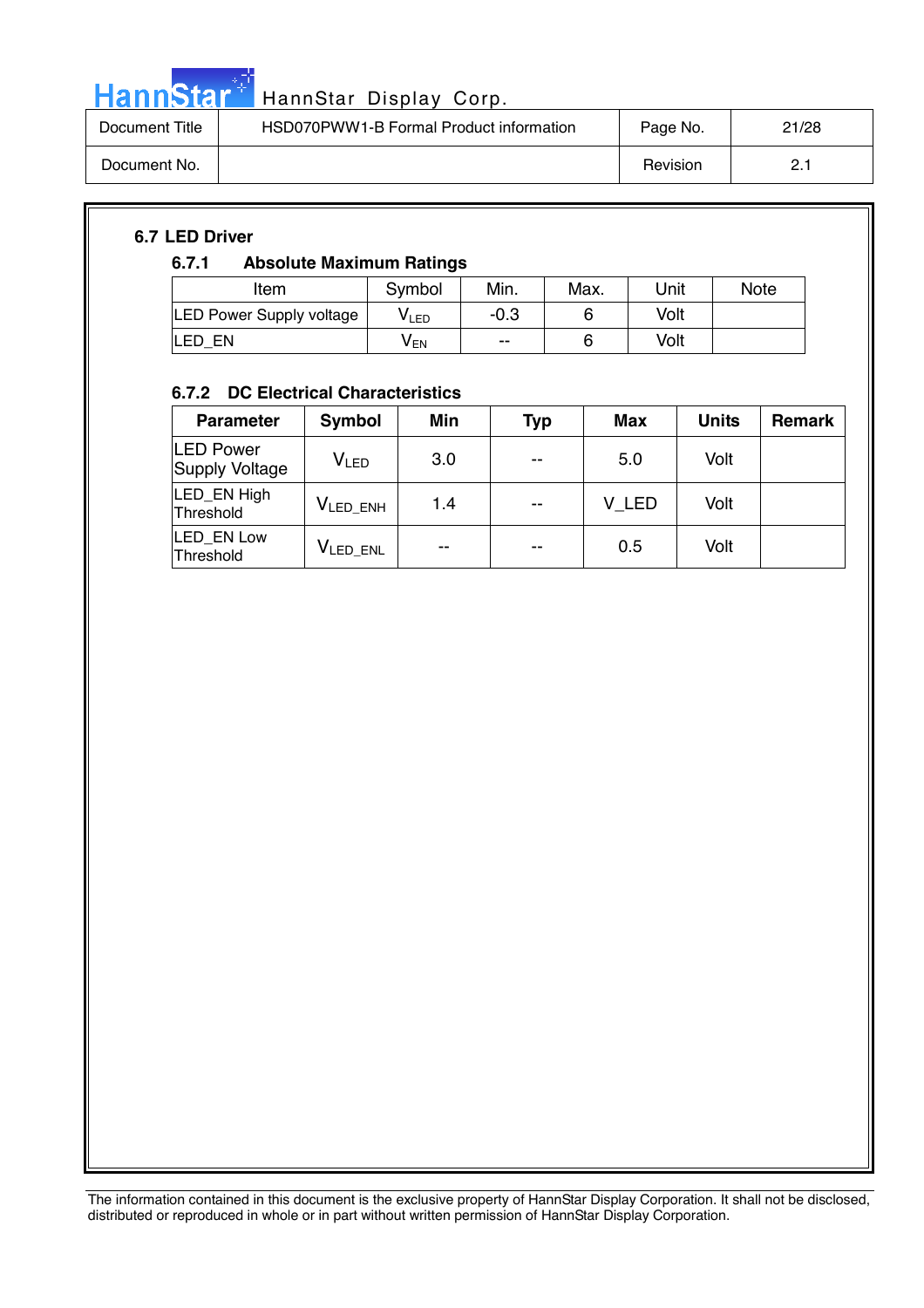

# HannStar<sup>t HannStar</sup> Display Corp.

| Document Title | HSD070PWW1-B Formal Product information | Page No. | 21/28 |
|----------------|-----------------------------------------|----------|-------|
| Document No.   |                                         | Revision |       |

### **6.7 LED Driver**

### **6.7.1 Absolute Maximum Ratings**

| Item                     | Symbol          | Min.   | Max. | Unit | <b>Note</b> |
|--------------------------|-----------------|--------|------|------|-------------|
| LED Power Supply voltage | VLED            | $-0.3$ |      | Volt |             |
| ILED<br>EN               | V <sub>EN</sub> | $-$    |      | Volt |             |

### **6.7.2 DC Electrical Characteristics**

| <b>Parameter</b>                   | <b>Symbol</b>        | Min | <b>Typ</b> | <b>Max</b> | <b>Units</b> | Remark |
|------------------------------------|----------------------|-----|------------|------------|--------------|--------|
| <b>LED Power</b><br>Supply Voltage | V <sub>LED</sub>     | 3.0 | $-$        | 5.0        | Volt         |        |
| LED_EN High<br>Threshold           | $V_{LED\_ENH}$       | 1.4 | $- -$      | V_LED      | Volt         |        |
| LED_EN Low<br>Threshold            | V <sub>LED_ENL</sub> | --  | $- -$      | 0.5        | Volt         |        |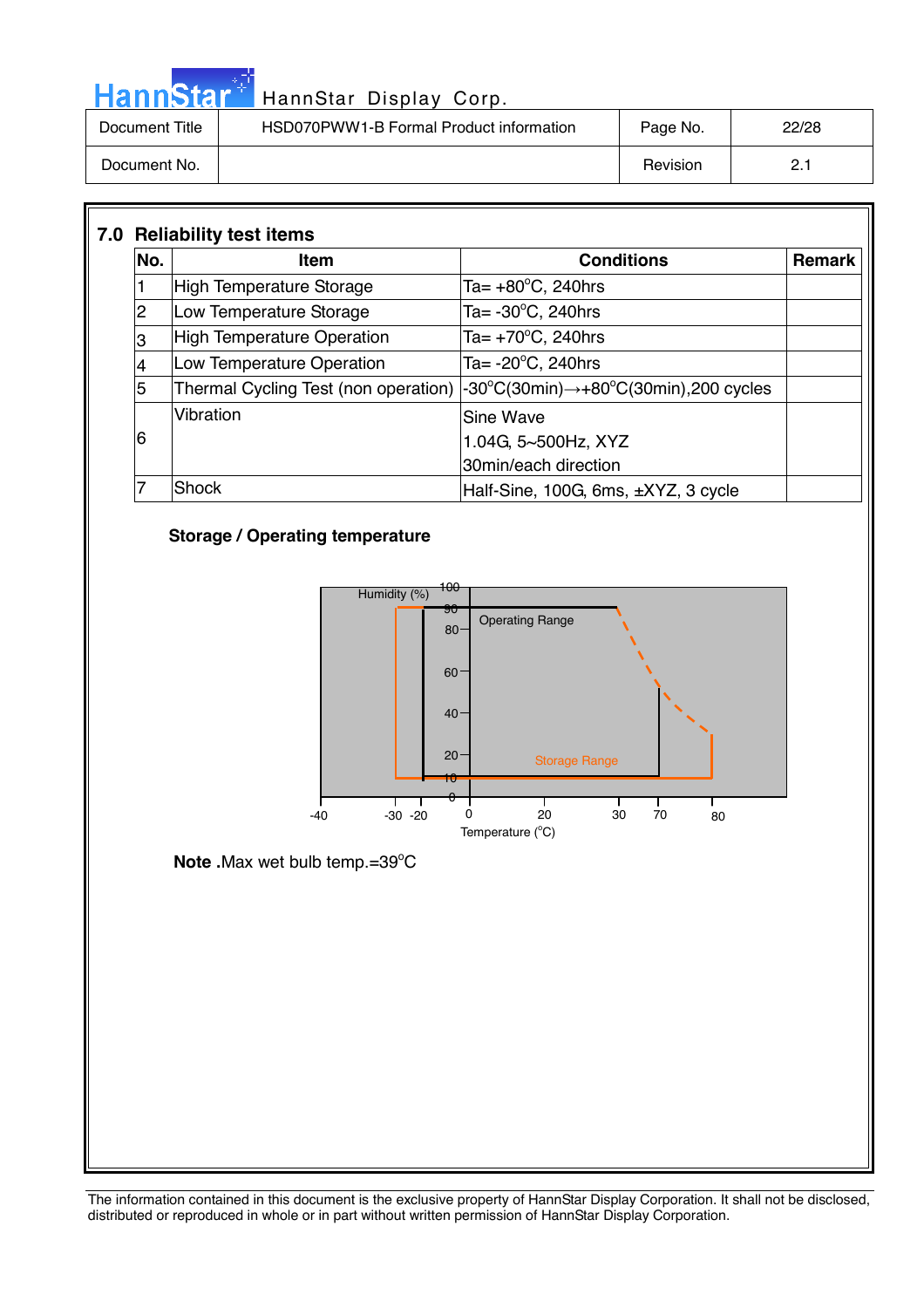|  |  | <b>HannStar</b> | . . |
|--|--|-----------------|-----|
|  |  |                 |     |
|  |  |                 |     |

| Document Title | HSD070PWW1-B Formal Product information | Page No. | 22/28    |
|----------------|-----------------------------------------|----------|----------|
| Document No.   |                                         | Revision | <u>.</u> |

### **7.0 Reliability test items**

|     | <b>Reliability test items</b>     |                                                                                                 |               |
|-----|-----------------------------------|-------------------------------------------------------------------------------------------------|---------------|
| No. | <b>Item</b>                       | <b>Conditions</b>                                                                               | <b>Remark</b> |
|     | <b>High Temperature Storage</b>   | Ta= $+80^{\circ}$ C, 240hrs                                                                     |               |
| 2   | Low Temperature Storage           | Ta= $-30^{\circ}$ C, 240hrs                                                                     |               |
| 3   | <b>High Temperature Operation</b> | Ta= $+70^{\circ}$ C, 240hrs                                                                     |               |
|     | Low Temperature Operation         | Ta= $-20^{\circ}$ C, 240hrs                                                                     |               |
| 5   |                                   | Thermal Cycling Test (non operation) $\vert$ -30°C(30min) $\rightarrow$ +80°C(30min),200 cycles |               |
|     | Vibration                         | Sine Wave                                                                                       |               |
| 6   |                                   | 1.04G, 5~500Hz, XYZ                                                                             |               |
|     |                                   | 30min/each direction                                                                            |               |
|     | <b>Shock</b>                      | Half-Sine, 100G, 6ms, ±XYZ, 3 cycle                                                             |               |

### **Storage / Operating temperature**



**Note .**Max wet bulb temp.=39°C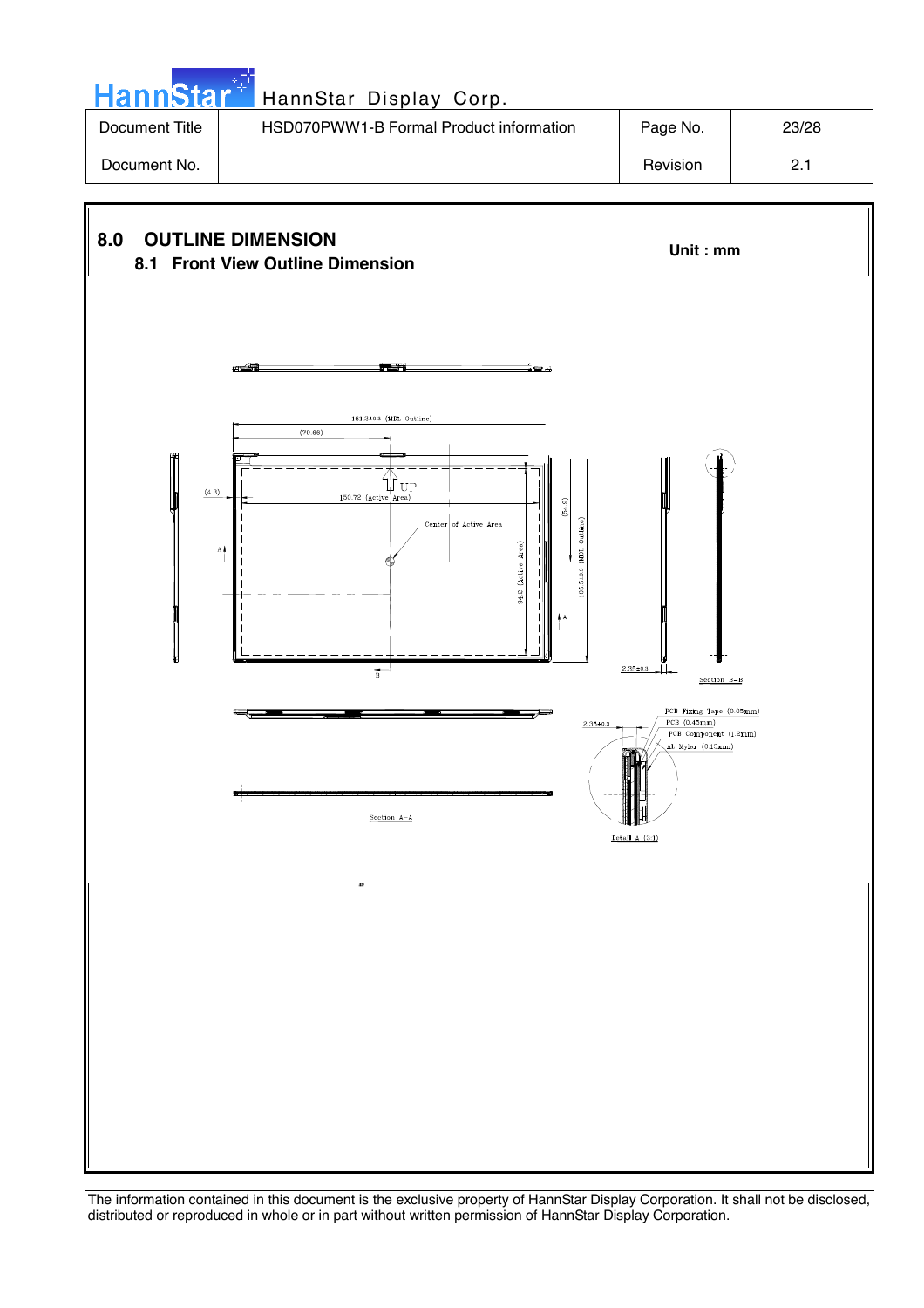| HannStar <sup>*1</sup> | HannStar Display Corp.                  |          |       |
|------------------------|-----------------------------------------|----------|-------|
| Document Title         | HSD070PWW1-B Formal Product information | Page No. | 23/28 |
| Document No.           |                                         | Revision |       |

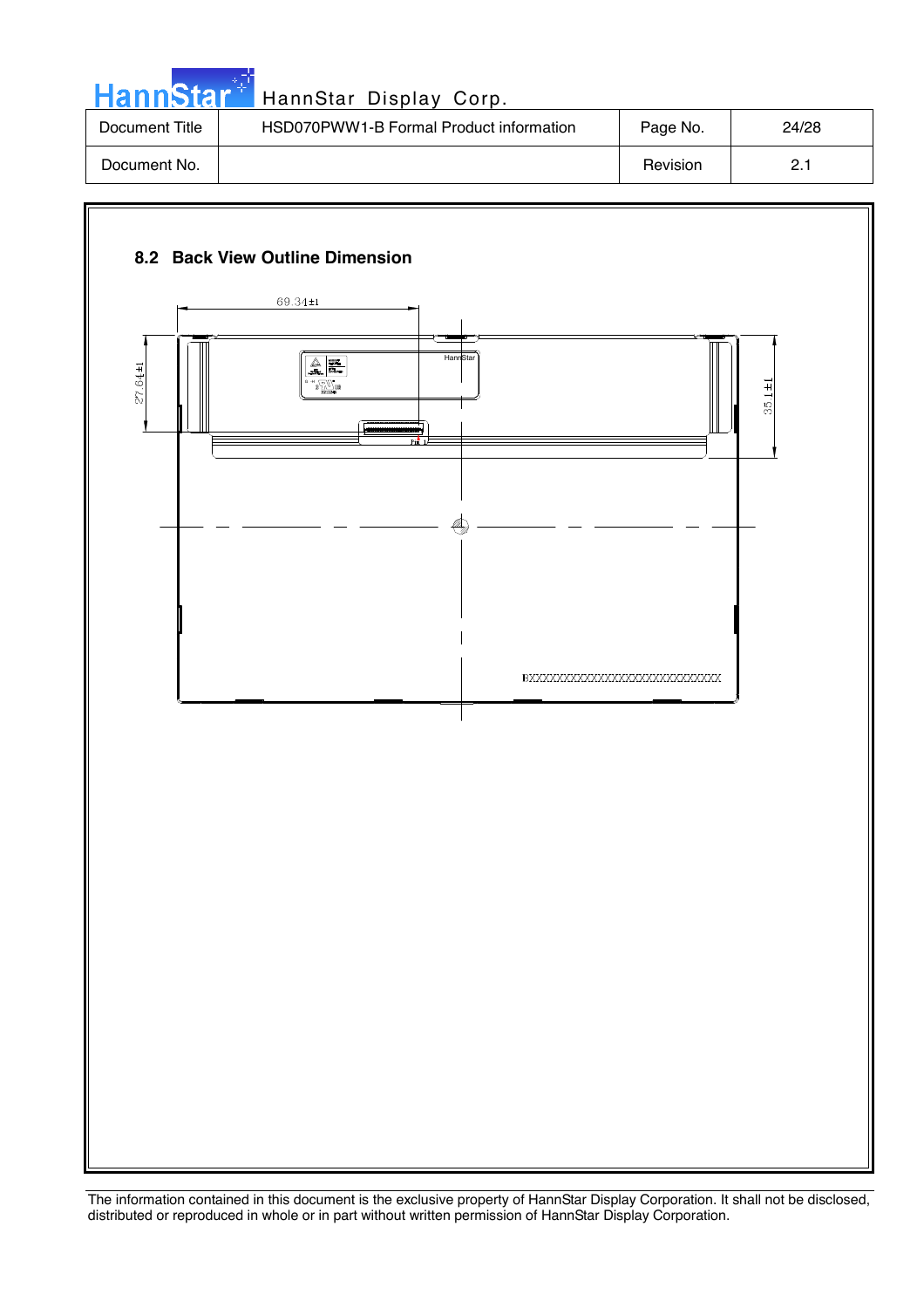|  | HannStar <sup>*</sup> |  |
|--|-----------------------|--|
|  |                       |  |

| Document Title | HSD070PWW1-B Formal Product information | Page No. | 24/28 |
|----------------|-----------------------------------------|----------|-------|
| Document No.   |                                         | Revision | L.    |

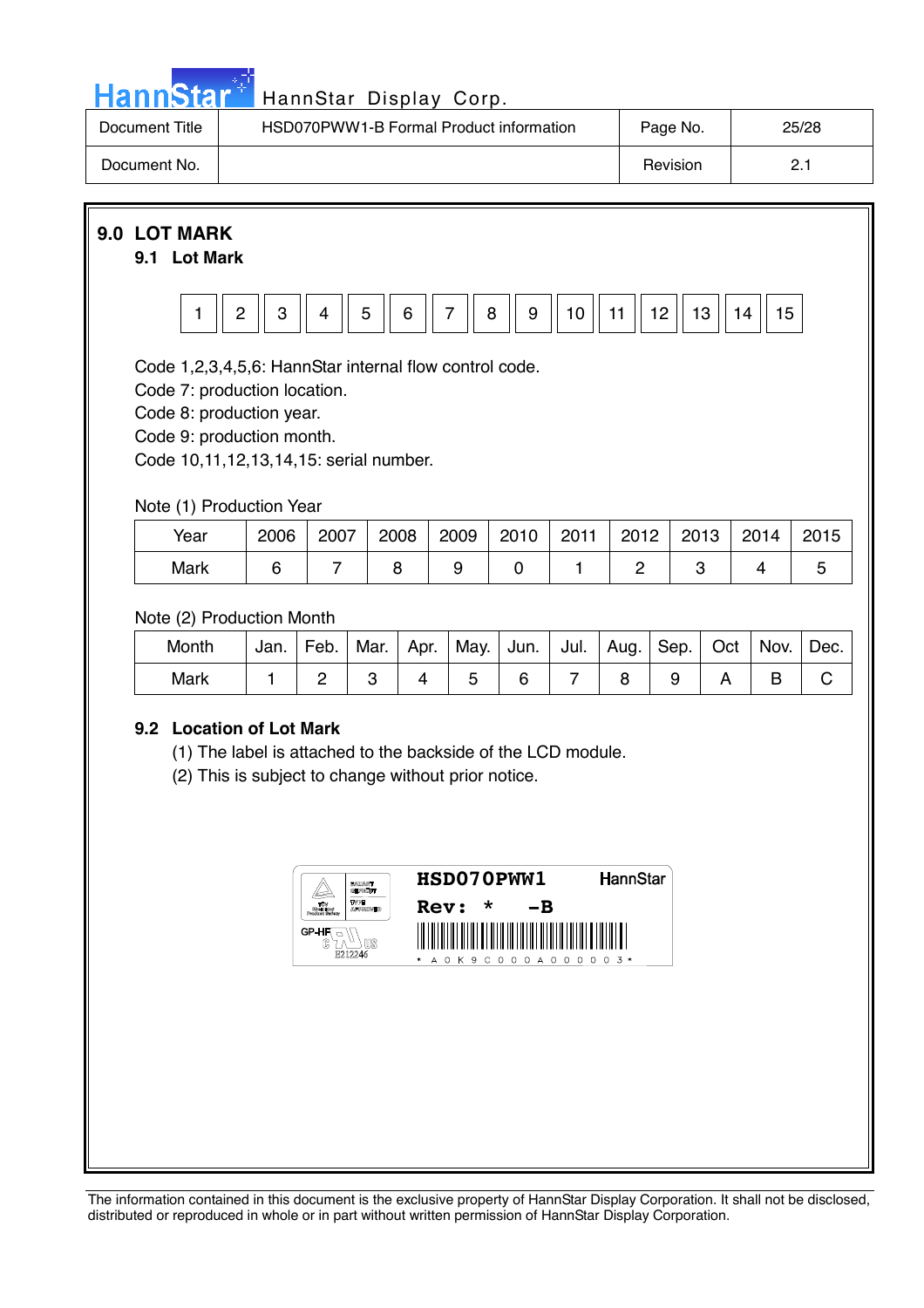

# HannStar<sup>17</sup> HannStar Display Corp.

| Document Title | HSD070PWW1-B Formal Product information | Page No. | 25/28 |
|----------------|-----------------------------------------|----------|-------|
| Document No.   |                                         | Revision | ი -   |

**9.0 LOT MARK 9.1 Lot Mark**  1 || 2 || 3 || 4 || 5 || 6 || 7 || 8 || 9 || 10|| 11 || 12|| 13|| 14|| 15 Code 1,2,3,4,5,6: HannStar internal flow control code. Code 7: production location. Code 8: production year. Code 9: production month. Code 10,11,12,13,14,15: serial number.

Note (1) Production Year

| Year | 2006 | 2007 | 2008 | 2009 | 2010 | 2011 | 0010<br>ີ | 2013 | 2014 | 2015 |
|------|------|------|------|------|------|------|-----------|------|------|------|
| Mark |      |      |      |      |      |      | -         |      |      |      |

Note (2) Production Month

| Month | Jan. | Feb. | Mar. | Apr. | l May. | Jun. | Jul. | Aug. | Sep. | Oct | Nov. | Dec. |
|-------|------|------|------|------|--------|------|------|------|------|-----|------|------|
| Mark  |      |      |      |      |        |      |      |      |      |     |      |      |

### **9.2 Location of Lot Mark**

(1) The label is attached to the backside of the LCD module.

(2) This is subject to change without prior notice.

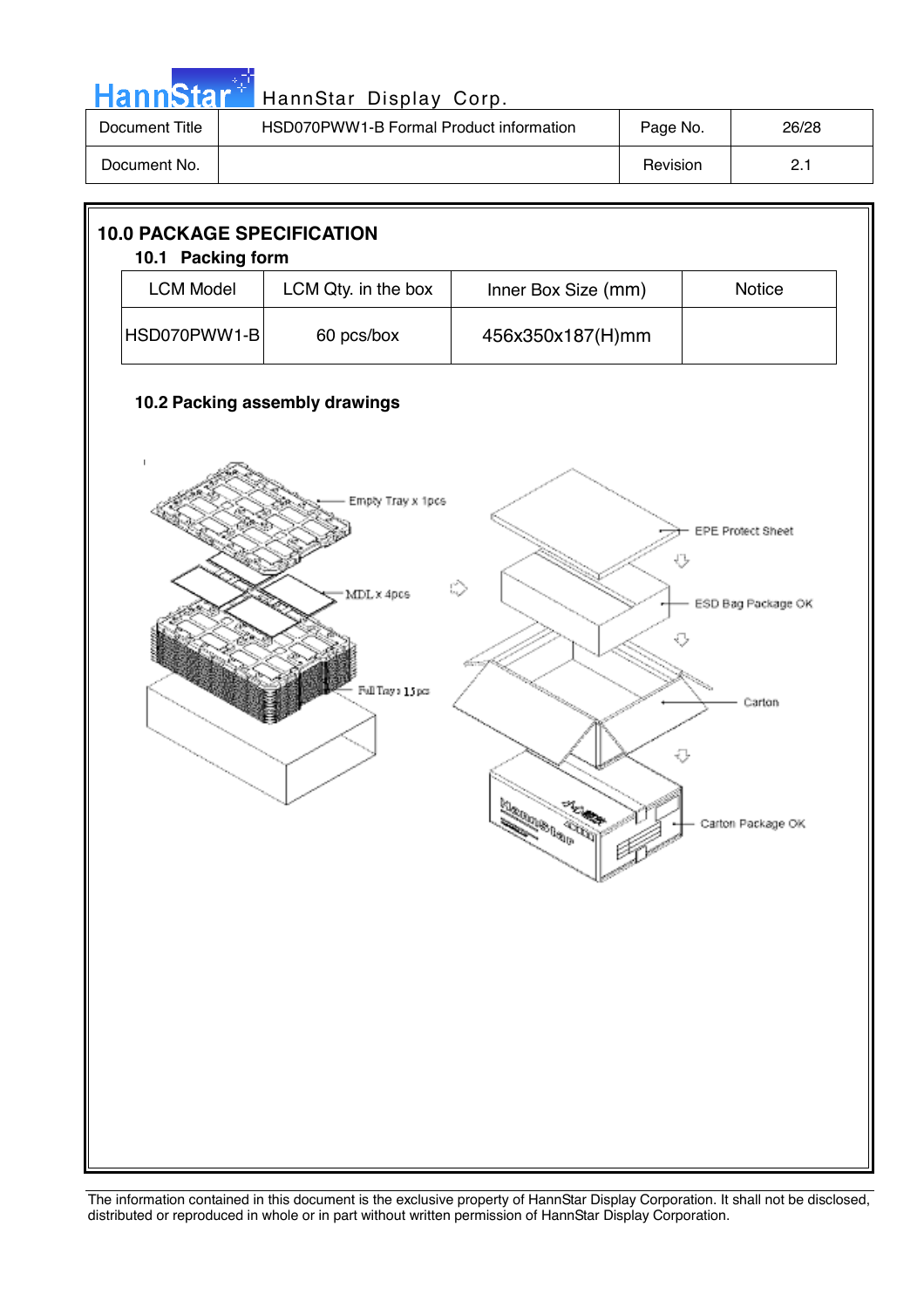| <b>Hannsta</b> |
|----------------|
|----------------|

| Document Title | HSD070PWW1-B Formal Product information | Page No. | 26/28 |
|----------------|-----------------------------------------|----------|-------|
| Document No.   |                                         | Revision | っ -   |

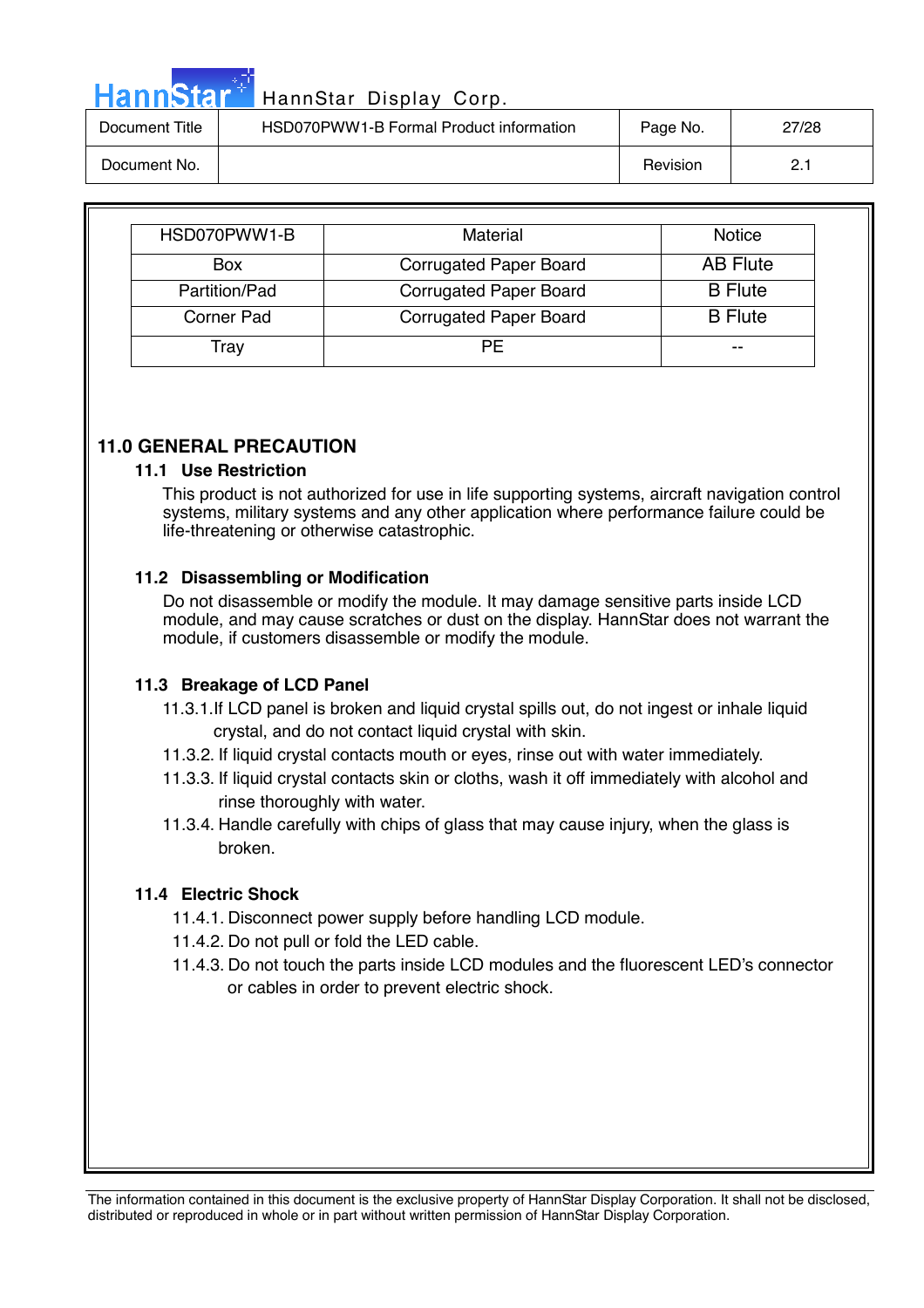| . . |     |    |  |
|-----|-----|----|--|
|     | ann |    |  |
| . . |     | æ. |  |
|     |     |    |  |

| Document Title | HSD070PWW1-B Formal Product information | Page No. | 27/28 |
|----------------|-----------------------------------------|----------|-------|
| Document No.   |                                         | Revision | ი -   |

| HSD070PWW1-B  | Material                      | <b>Notice</b>   |
|---------------|-------------------------------|-----------------|
| <b>Box</b>    | <b>Corrugated Paper Board</b> | <b>AB Flute</b> |
| Partition/Pad | <b>Corrugated Paper Board</b> | <b>B</b> Flute  |
| Corner Pad    | <b>Corrugated Paper Board</b> | <b>B</b> Flute  |
| Tray          | ΡF                            | --              |

### **11.0 GENERAL PRECAUTION**

### **11.1 Use Restriction**

This product is not authorized for use in life supporting systems, aircraft navigation control systems, military systems and any other application where performance failure could be life-threatening or otherwise catastrophic.

### **11.2 Disassembling or Modification**

 Do not disassemble or modify the module. It may damage sensitive parts inside LCD module, and may cause scratches or dust on the display. HannStar does not warrant the module, if customers disassemble or modify the module.

### **11.3 Breakage of LCD Panel**

- 11.3.1.If LCD panel is broken and liquid crystal spills out, do not ingest or inhale liquid crystal, and do not contact liquid crystal with skin.
- 11.3.2. If liquid crystal contacts mouth or eyes, rinse out with water immediately.
- 11.3.3. If liquid crystal contacts skin or cloths, wash it off immediately with alcohol and rinse thoroughly with water.
- 11.3.4. Handle carefully with chips of glass that may cause injury, when the glass is broken.

### **11.4 Electric Shock**

- 11.4.1. Disconnect power supply before handling LCD module.
- 11.4.2. Do not pull or fold the LED cable.
- 11.4.3. Do not touch the parts inside LCD modules and the fluorescent LED's connector or cables in order to prevent electric shock.